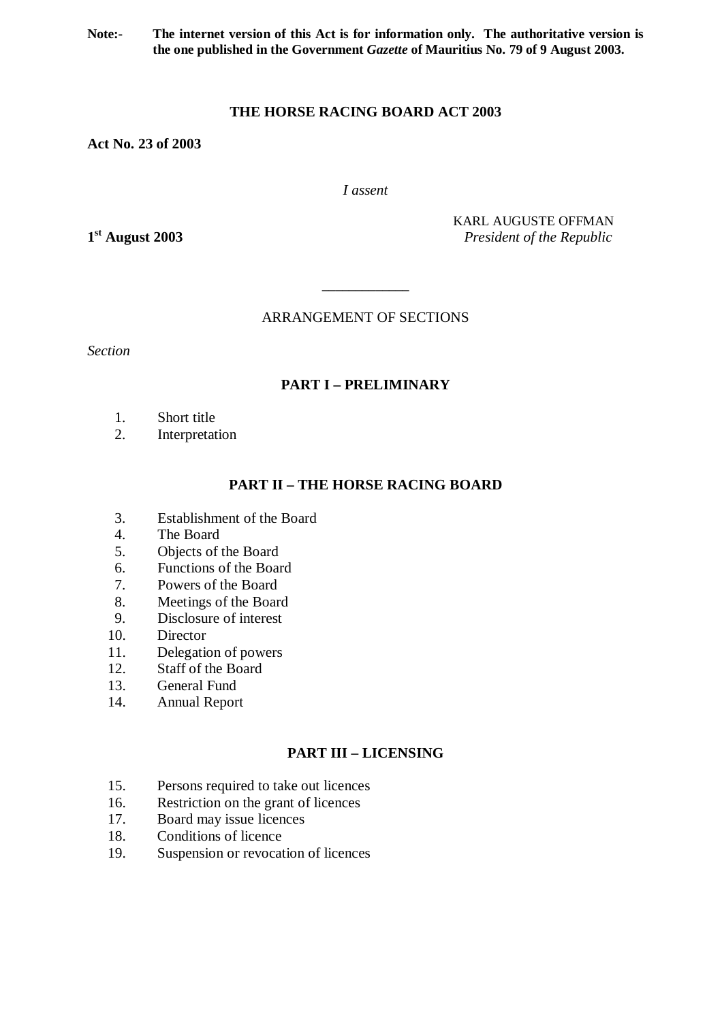**Note:- The internet version of this Act is for information only. The authoritative version is the one published in the Government** *Gazette* **of Mauritius No. 79 of 9 August 2003.** 

## **THE HORSE RACING BOARD ACT 2003**

**Act No. 23 of 2003** 

*I assent* 

1<sup>st</sup> August 2003

KARL AUGUSTE OFFMAN **st August 2003** *President of the Republic* 

ARRANGEMENT OF SECTIONS

**\_\_\_\_\_\_\_\_\_\_\_\_\_** 

*Section* 

# **PART I – PRELIMINARY**

- 1. Short title
- 2. Interpretation

# **PART II – THE HORSE RACING BOARD**

- 3. Establishment of the Board
- 4. The Board
- 5. Objects of the Board
- 6. Functions of the Board
- 7. Powers of the Board
- 8. Meetings of the Board
- 9. Disclosure of interest
- 10. Director
- 11. Delegation of powers
- 12. Staff of the Board
- 13. General Fund
- 14. Annual Report

# **PART III – LICENSING**

- 15. Persons required to take out licences
- 16. Restriction on the grant of licences
- 17. Board may issue licences
- 18. Conditions of licence
- 19. Suspension or revocation of licences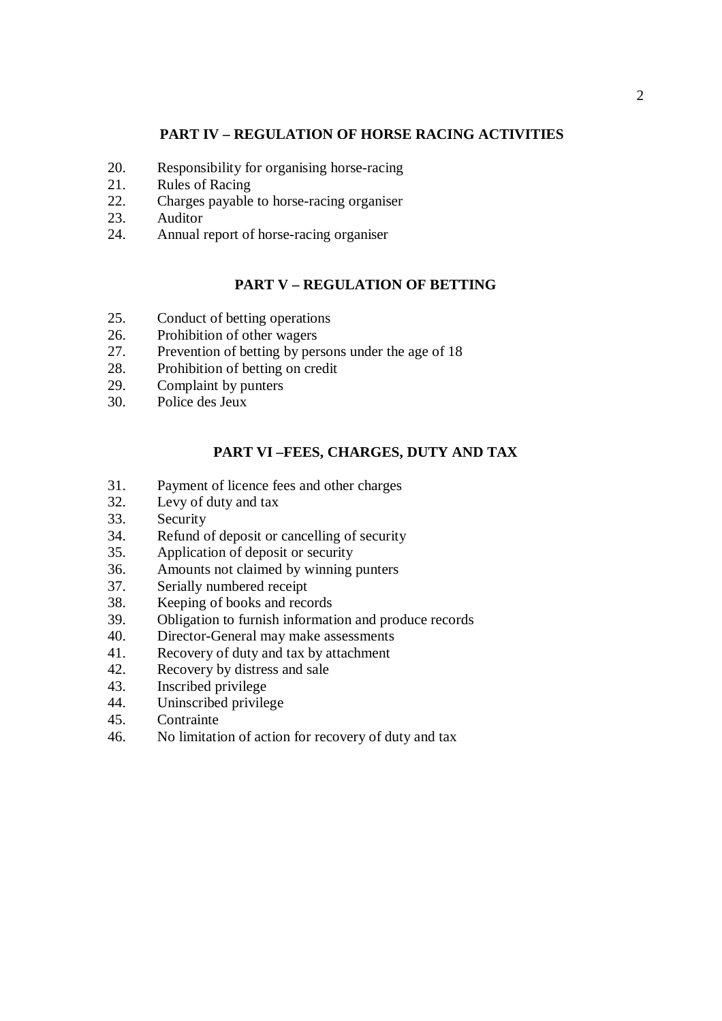## **PART IV – REGULATION OF HORSE RACING ACTIVITIES**

- 20. Responsibility for organising horse-racing
- 21. Rules of Racing
- 22. Charges payable to horse-racing organiser
- 23. Auditor
- 24. Annual report of horse-racing organiser

## **PART V – REGULATION OF BETTING**

- 25. Conduct of betting operations
- 26. Prohibition of other wagers
- 27. Prevention of betting by persons under the age of 18
- 28. Prohibition of betting on credit
- 29. Complaint by punters
- 30. Police des Jeux

### **PART VI –FEES, CHARGES, DUTY AND TAX**

- 31. Payment of licence fees and other charges
- 32. Levy of duty and tax
- 33. Security
- 34. Refund of deposit or cancelling of security
- 35. Application of deposit or security
- 36. Amounts not claimed by winning punters
- 37. Serially numbered receipt
- 38. Keeping of books and records
- 39. Obligation to furnish information and produce records
- 40. Director-General may make assessments
- 41. Recovery of duty and tax by attachment
- 42. Recovery by distress and sale
- 43. Inscribed privilege
- 44. Uninscribed privilege
- 45. Contrainte
- 46. No limitation of action for recovery of duty and tax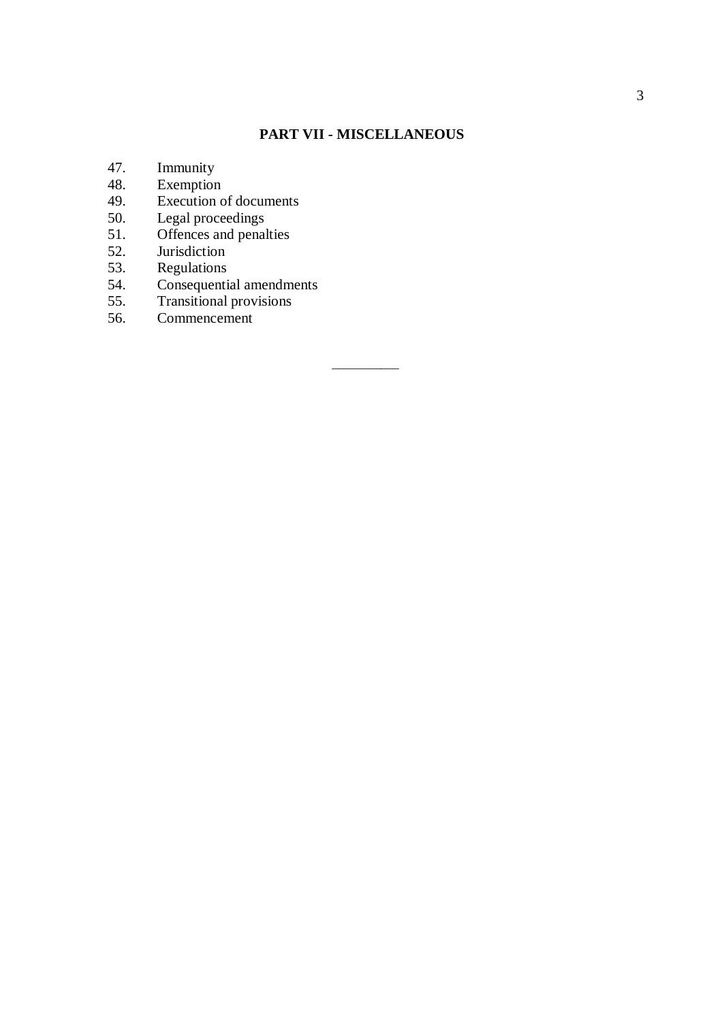# **PART VII - MISCELLANEOUS**

\_\_\_\_\_\_\_\_\_\_\_

- 47. Immunity
- 48. Exemption
- 49. Execution of documents
- 50. Legal proceedings
- 51. Offences and penalties
- 52. Jurisdiction
- 53. Regulations
- 54. Consequential amendments
- 55. Transitional provisions
- 56. Commencement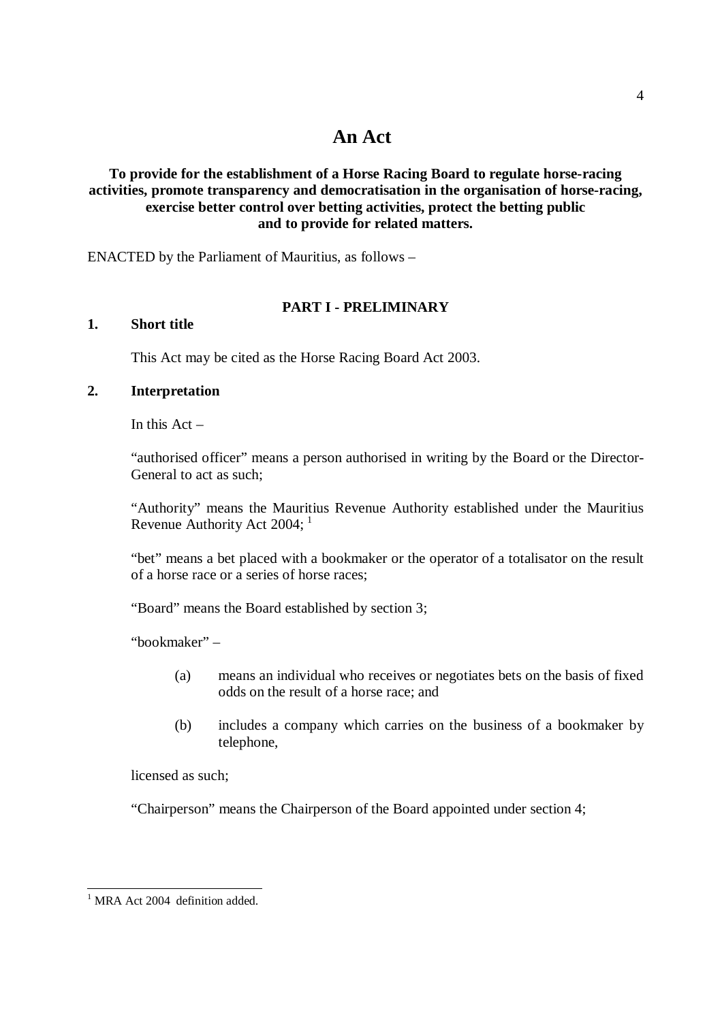## **To provide for the establishment of a Horse Racing Board to regulate horse-racing activities, promote transparency and democratisation in the organisation of horse-racing, exercise better control over betting activities, protect the betting public and to provide for related matters.**

ENACTED by the Parliament of Mauritius, as follows –

## **PART I - PRELIMINARY**

### **1. Short title**

This Act may be cited as the Horse Racing Board Act 2003.

## **2. Interpretation**

In this  $Act -$ 

"authorised officer" means a person authorised in writing by the Board or the Director-General to act as such;

"Authority" means the Mauritius Revenue Authority established under the Mauritius Revenue Authority Act 2004;  $<sup>1</sup>$ </sup>

"bet" means a bet placed with a bookmaker or the operator of a totalisator on the result of a horse race or a series of horse races;

"Board" means the Board established by section 3;

"bookmaker" –

- (a) means an individual who receives or negotiates bets on the basis of fixed odds on the result of a horse race; and
- (b) includes a company which carries on the business of a bookmaker by telephone,

licensed as such;

"Chairperson" means the Chairperson of the Board appointed under section 4;

 $1$  MRA Act 2004 definition added.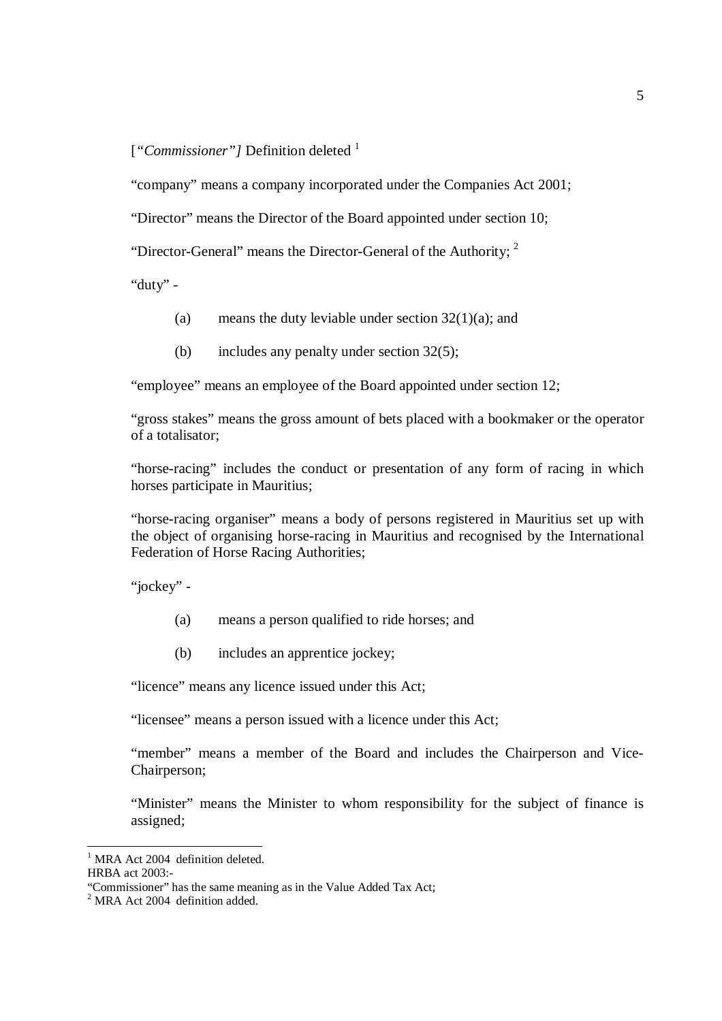## [*"Commissioner"*] Definition deleted <sup>1</sup>

"company" means a company incorporated under the Companies Act 2001;

"Director" means the Director of the Board appointed under section 10;

"Director-General" means the Director-General of the Authority;  $2$ 

"duty" -

- (a) means the duty leviable under section  $32(1)(a)$ ; and
- (b) includes any penalty under section 32(5);

"employee" means an employee of the Board appointed under section 12;

"gross stakes" means the gross amount of bets placed with a bookmaker or the operator of a totalisator;

"horse-racing" includes the conduct or presentation of any form of racing in which horses participate in Mauritius;

"horse-racing organiser" means a body of persons registered in Mauritius set up with the object of organising horse-racing in Mauritius and recognised by the International Federation of Horse Racing Authorities;

"jockey" -

- (a) means a person qualified to ride horses; and
- (b) includes an apprentice jockey;

"licence" means any licence issued under this Act;

"licensee" means a person issued with a licence under this Act;

"member" means a member of the Board and includes the Chairperson and Vice-Chairperson;

"Minister" means the Minister to whom responsibility for the subject of finance is assigned;

MRA Act 2004 definition deleted.

HRBA act 2003:-

<sup>&</sup>quot;Commissioner" has the same meaning as in the Value Added Tax Act;

<sup>2</sup> MRA Act 2004 definition added.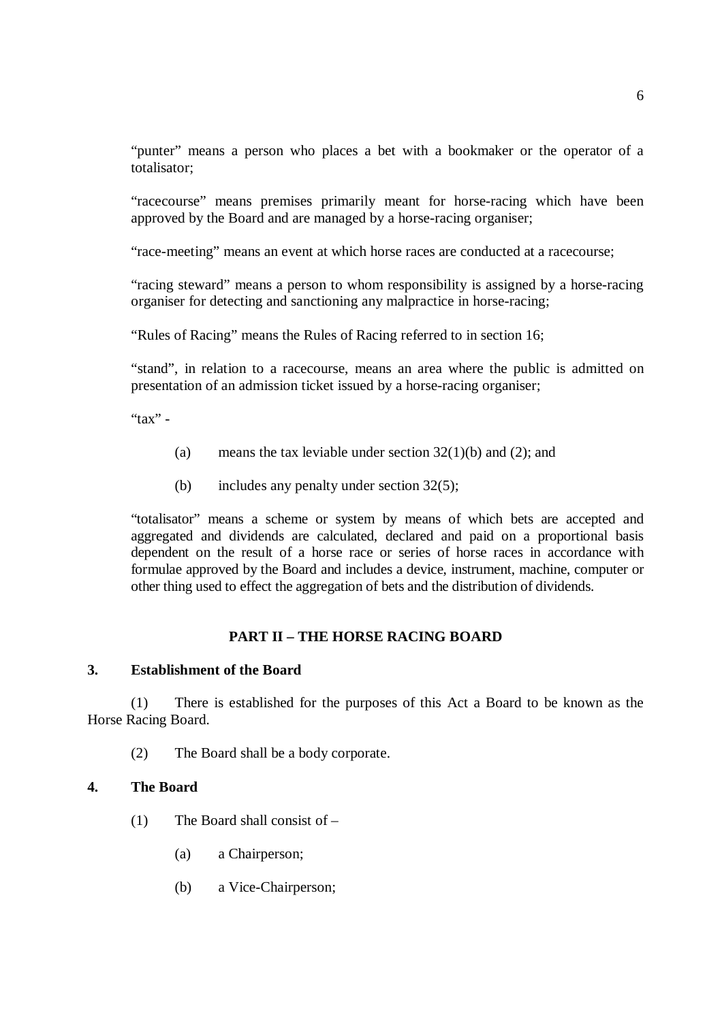"punter" means a person who places a bet with a bookmaker or the operator of a totalisator;

"racecourse" means premises primarily meant for horse-racing which have been approved by the Board and are managed by a horse-racing organiser;

"race-meeting" means an event at which horse races are conducted at a racecourse;

"racing steward" means a person to whom responsibility is assigned by a horse-racing organiser for detecting and sanctioning any malpractice in horse-racing;

"Rules of Racing" means the Rules of Racing referred to in section 16;

"stand", in relation to a racecourse, means an area where the public is admitted on presentation of an admission ticket issued by a horse-racing organiser;

" $\text{tax}"$  -

- (a) means the tax leviable under section  $32(1)(b)$  and  $(2)$ ; and
- (b) includes any penalty under section 32(5);

"totalisator" means a scheme or system by means of which bets are accepted and aggregated and dividends are calculated, declared and paid on a proportional basis dependent on the result of a horse race or series of horse races in accordance with formulae approved by the Board and includes a device, instrument, machine, computer or other thing used to effect the aggregation of bets and the distribution of dividends.

## **PART II – THE HORSE RACING BOARD**

### **3. Establishment of the Board**

(1) There is established for the purposes of this Act a Board to be known as the Horse Racing Board.

(2) The Board shall be a body corporate.

#### **4. The Board**

- (1) The Board shall consist of
	- (a) a Chairperson;
	- (b) a Vice-Chairperson;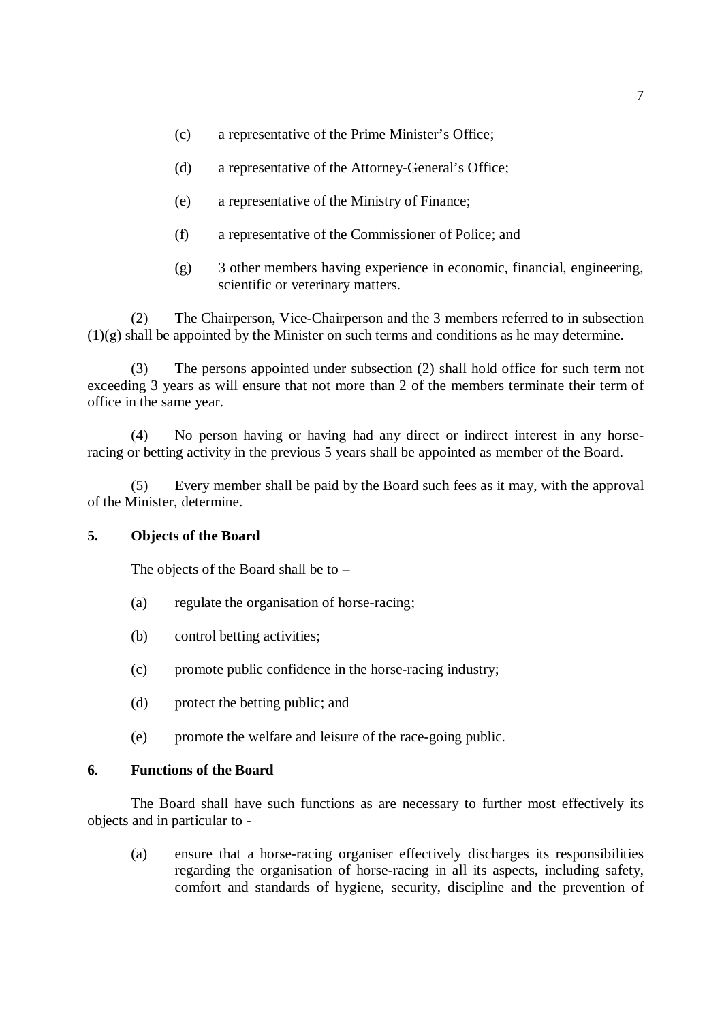- (c) a representative of the Prime Minister's Office;
- (d) a representative of the Attorney-General's Office;
- (e) a representative of the Ministry of Finance;
- (f) a representative of the Commissioner of Police; and
- (g) 3 other members having experience in economic, financial, engineering, scientific or veterinary matters.

(2) The Chairperson, Vice-Chairperson and the 3 members referred to in subsection (1)(g) shall be appointed by the Minister on such terms and conditions as he may determine.

(3) The persons appointed under subsection (2) shall hold office for such term not exceeding 3 years as will ensure that not more than 2 of the members terminate their term of office in the same year.

(4) No person having or having had any direct or indirect interest in any horseracing or betting activity in the previous 5 years shall be appointed as member of the Board.

Every member shall be paid by the Board such fees as it may, with the approval of the Minister, determine.

## **5. Objects of the Board**

The objects of the Board shall be to –

- (a) regulate the organisation of horse-racing;
- (b) control betting activities;
- (c) promote public confidence in the horse-racing industry;
- (d) protect the betting public; and
- (e) promote the welfare and leisure of the race-going public.

## **6. Functions of the Board**

The Board shall have such functions as are necessary to further most effectively its objects and in particular to -

(a) ensure that a horse-racing organiser effectively discharges its responsibilities regarding the organisation of horse-racing in all its aspects, including safety, comfort and standards of hygiene, security, discipline and the prevention of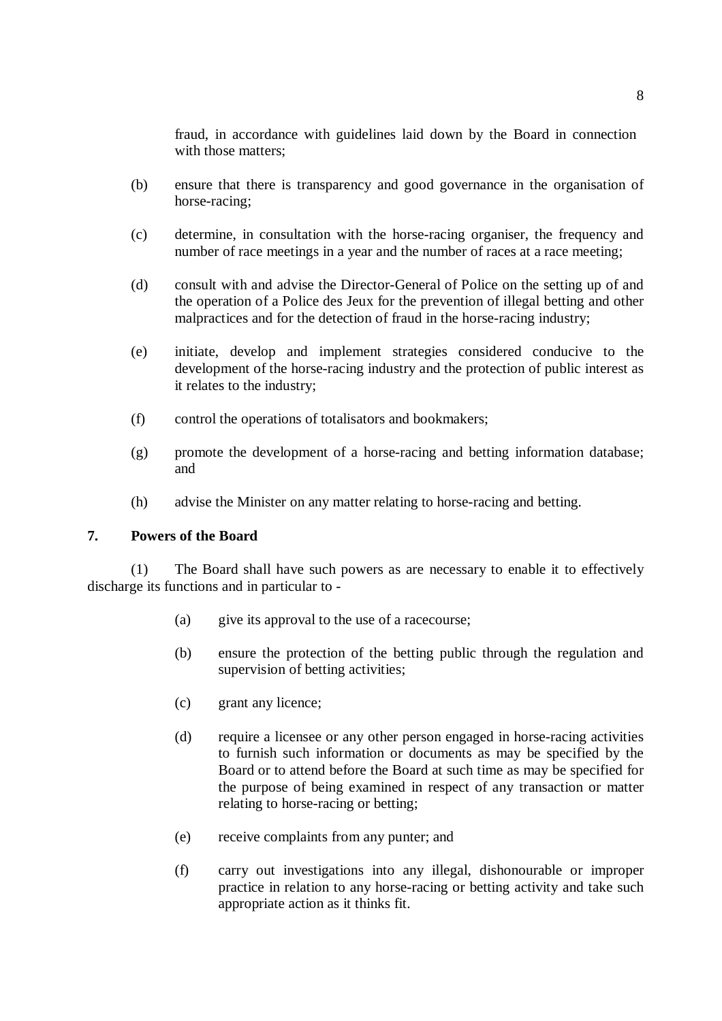fraud, in accordance with guidelines laid down by the Board in connection with those matters:

- (b) ensure that there is transparency and good governance in the organisation of horse-racing;
- (c) determine, in consultation with the horse-racing organiser, the frequency and number of race meetings in a year and the number of races at a race meeting;
- (d) consult with and advise the Director-General of Police on the setting up of and the operation of a Police des Jeux for the prevention of illegal betting and other malpractices and for the detection of fraud in the horse-racing industry;
- (e) initiate, develop and implement strategies considered conducive to the development of the horse-racing industry and the protection of public interest as it relates to the industry;
- (f) control the operations of totalisators and bookmakers;
- (g) promote the development of a horse-racing and betting information database; and
- (h) advise the Minister on any matter relating to horse-racing and betting.

#### **7. Powers of the Board**

(1) The Board shall have such powers as are necessary to enable it to effectively discharge its functions and in particular to -

- (a) give its approval to the use of a racecourse;
- (b) ensure the protection of the betting public through the regulation and supervision of betting activities;
- (c) grant any licence;
- (d) require a licensee or any other person engaged in horse-racing activities to furnish such information or documents as may be specified by the Board or to attend before the Board at such time as may be specified for the purpose of being examined in respect of any transaction or matter relating to horse-racing or betting;
- (e) receive complaints from any punter; and
- (f) carry out investigations into any illegal, dishonourable or improper practice in relation to any horse-racing or betting activity and take such appropriate action as it thinks fit.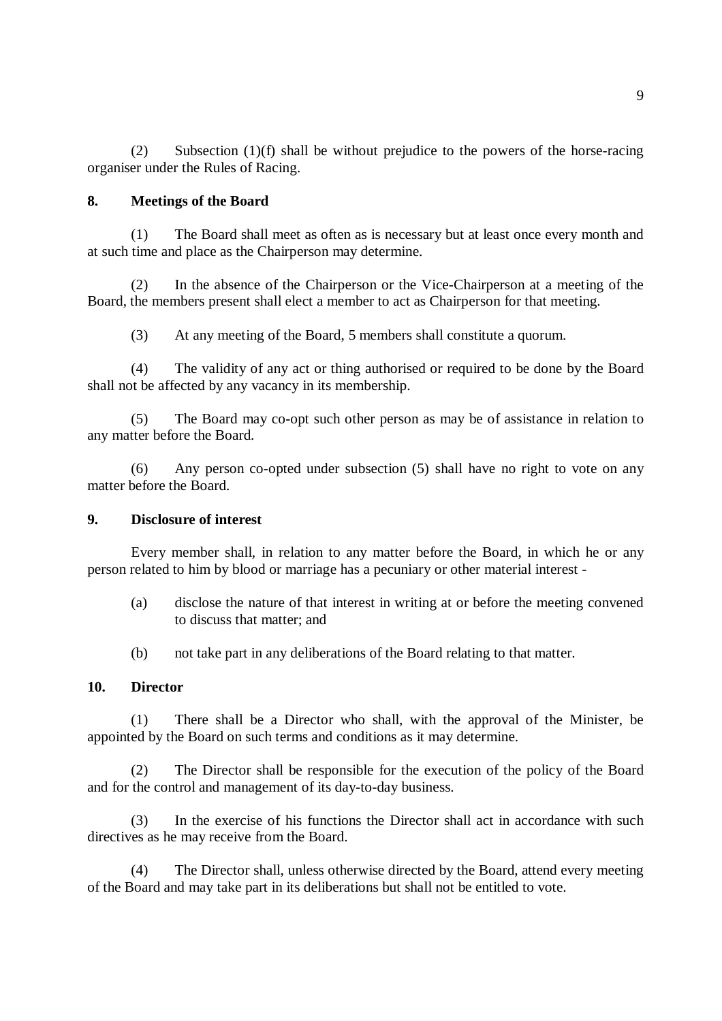(2) Subsection (1)(f) shall be without prejudice to the powers of the horse-racing organiser under the Rules of Racing.

## **8. Meetings of the Board**

(1) The Board shall meet as often as is necessary but at least once every month and at such time and place as the Chairperson may determine.

(2) In the absence of the Chairperson or the Vice-Chairperson at a meeting of the Board, the members present shall elect a member to act as Chairperson for that meeting.

(3) At any meeting of the Board, 5 members shall constitute a quorum.

(4) The validity of any act or thing authorised or required to be done by the Board shall not be affected by any vacancy in its membership.

(5) The Board may co-opt such other person as may be of assistance in relation to any matter before the Board.

(6) Any person co-opted under subsection (5) shall have no right to vote on any matter before the Board.

## **9. Disclosure of interest**

Every member shall, in relation to any matter before the Board, in which he or any person related to him by blood or marriage has a pecuniary or other material interest -

- (a) disclose the nature of that interest in writing at or before the meeting convened to discuss that matter; and
- (b) not take part in any deliberations of the Board relating to that matter.

## **10. Director**

(1) There shall be a Director who shall, with the approval of the Minister, be appointed by the Board on such terms and conditions as it may determine.

(2) The Director shall be responsible for the execution of the policy of the Board and for the control and management of its day-to-day business.

(3) In the exercise of his functions the Director shall act in accordance with such directives as he may receive from the Board.

(4) The Director shall, unless otherwise directed by the Board, attend every meeting of the Board and may take part in its deliberations but shall not be entitled to vote.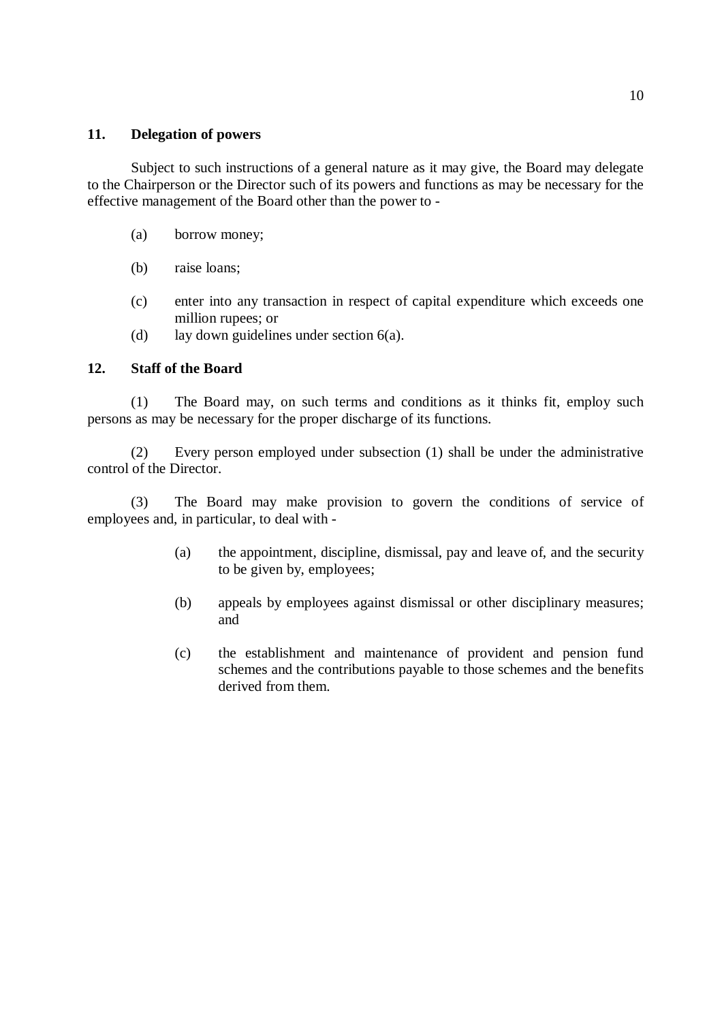### **11. Delegation of powers**

Subject to such instructions of a general nature as it may give, the Board may delegate to the Chairperson or the Director such of its powers and functions as may be necessary for the effective management of the Board other than the power to -

- (a) borrow money;
- (b) raise loans;
- (c) enter into any transaction in respect of capital expenditure which exceeds one million rupees; or
- (d) lay down guidelines under section 6(a).

### **12. Staff of the Board**

(1) The Board may, on such terms and conditions as it thinks fit, employ such persons as may be necessary for the proper discharge of its functions.

(2) Every person employed under subsection (1) shall be under the administrative control of the Director.

(3) The Board may make provision to govern the conditions of service of employees and, in particular, to deal with -

- (a) the appointment, discipline, dismissal, pay and leave of, and the security to be given by, employees;
- (b) appeals by employees against dismissal or other disciplinary measures; and
- (c) the establishment and maintenance of provident and pension fund schemes and the contributions payable to those schemes and the benefits derived from them.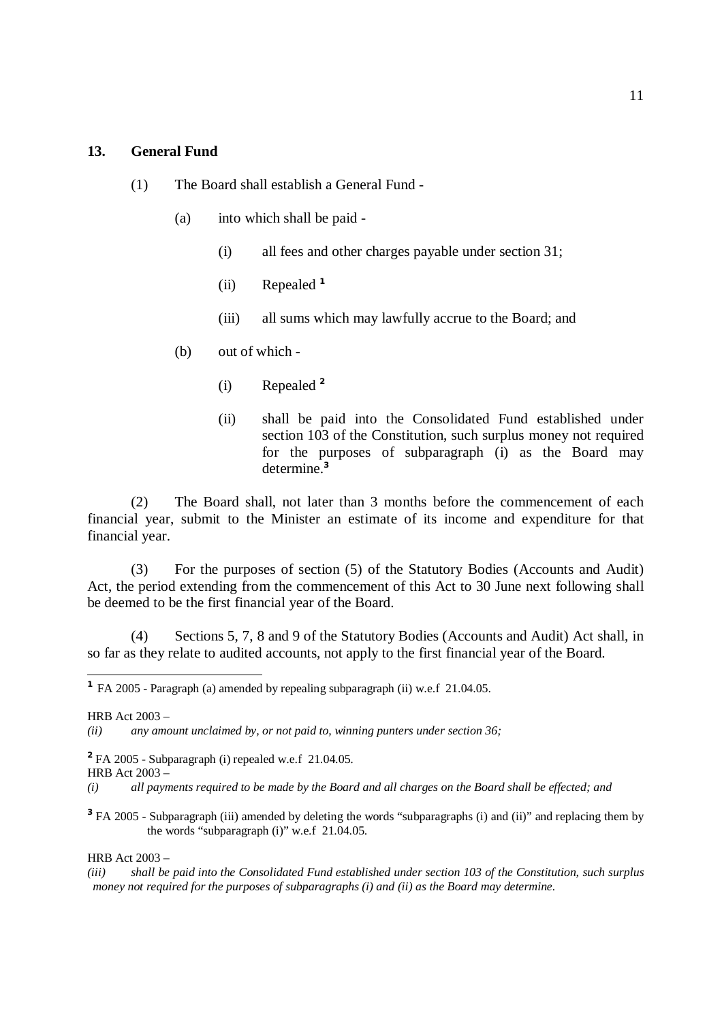#### **13. General Fund**

- (1) The Board shall establish a General Fund
	- (a) into which shall be paid
		- (i) all fees and other charges payable under section 31;
		- (ii) Repealed **<sup>1</sup>**
		- (iii) all sums which may lawfully accrue to the Board; and
	- (b) out of which
		- (i) Repealed **<sup>2</sup>**
		- (ii) shall be paid into the Consolidated Fund established under section 103 of the Constitution, such surplus money not required for the purposes of subparagraph (i) as the Board may determine.**<sup>3</sup>**

(2) The Board shall, not later than 3 months before the commencement of each financial year, submit to the Minister an estimate of its income and expenditure for that financial year.

(3) For the purposes of section (5) of the Statutory Bodies (Accounts and Audit) Act, the period extending from the commencement of this Act to 30 June next following shall be deemed to be the first financial year of the Board.

(4) Sections 5, 7, 8 and 9 of the Statutory Bodies (Accounts and Audit) Act shall, in so far as they relate to audited accounts, not apply to the first financial year of the Board.

 $\overline{a}$ 

HRB Act 2003 –

**<sup>3</sup>**FA 2005 - Subparagraph (iii) amended by deleting the words "subparagraphs (i) and (ii)" and replacing them by the words "subparagraph (i)" w.e.f 21.04.05.

HRB Act 2003 –

**<sup>1</sup>** FA 2005 - Paragraph (a) amended by repealing subparagraph (ii) w.e.f 21.04.05.

HRB Act 2003 –

*<sup>(</sup>ii) any amount unclaimed by, or not paid to, winning punters under section 36;* 

**<sup>2</sup>**FA 2005 - Subparagraph (i) repealed w.e.f 21.04.05.

<sup>(</sup>i) all payments required to be made by the Board and all charges on the Board shall be effected; and

<sup>(</sup>iii) shall be paid into the Consolidated Fund established under section 103 of the Constitution, such surplus *money not required for the purposes of subparagraphs (i) and (ii) as the Board may determine.*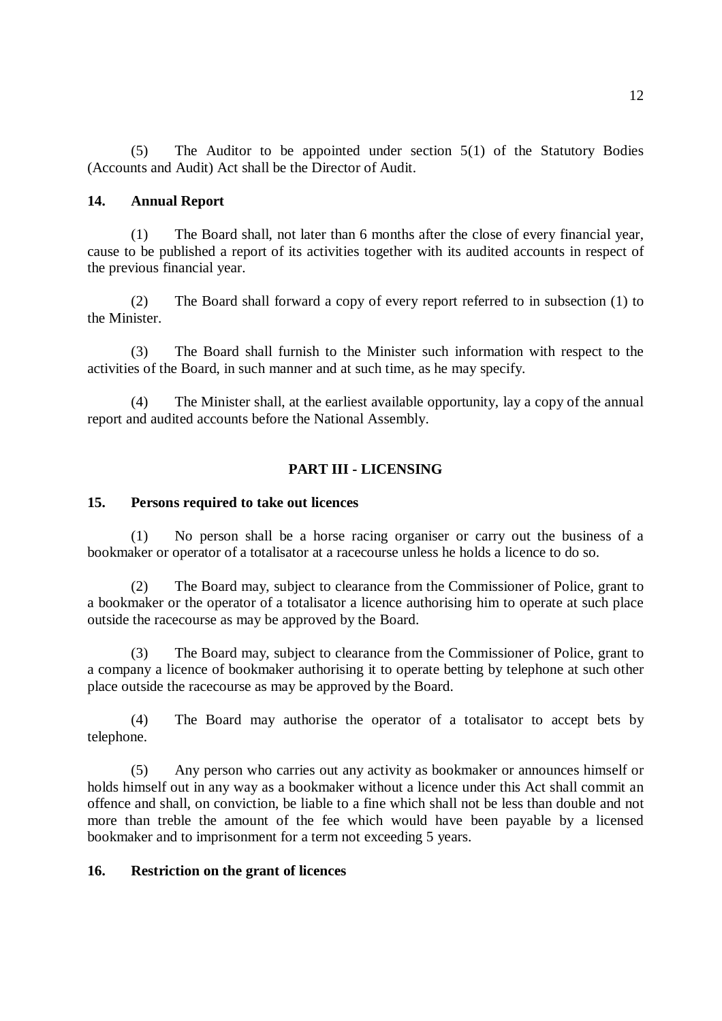(5) The Auditor to be appointed under section 5(1) of the Statutory Bodies (Accounts and Audit) Act shall be the Director of Audit.

## **14. Annual Report**

(1) The Board shall, not later than 6 months after the close of every financial year, cause to be published a report of its activities together with its audited accounts in respect of the previous financial year.

(2) The Board shall forward a copy of every report referred to in subsection (1) to the Minister.

(3) The Board shall furnish to the Minister such information with respect to the activities of the Board, in such manner and at such time, as he may specify.

(4) The Minister shall, at the earliest available opportunity, lay a copy of the annual report and audited accounts before the National Assembly.

## **PART III - LICENSING**

## **15. Persons required to take out licences**

(1) No person shall be a horse racing organiser or carry out the business of a bookmaker or operator of a totalisator at a racecourse unless he holds a licence to do so.

(2) The Board may, subject to clearance from the Commissioner of Police, grant to a bookmaker or the operator of a totalisator a licence authorising him to operate at such place outside the racecourse as may be approved by the Board.

(3) The Board may, subject to clearance from the Commissioner of Police, grant to a company a licence of bookmaker authorising it to operate betting by telephone at such other place outside the racecourse as may be approved by the Board.

(4) The Board may authorise the operator of a totalisator to accept bets by telephone.

(5) Any person who carries out any activity as bookmaker or announces himself or holds himself out in any way as a bookmaker without a licence under this Act shall commit an offence and shall, on conviction, be liable to a fine which shall not be less than double and not more than treble the amount of the fee which would have been payable by a licensed bookmaker and to imprisonment for a term not exceeding 5 years.

## **16. Restriction on the grant of licences**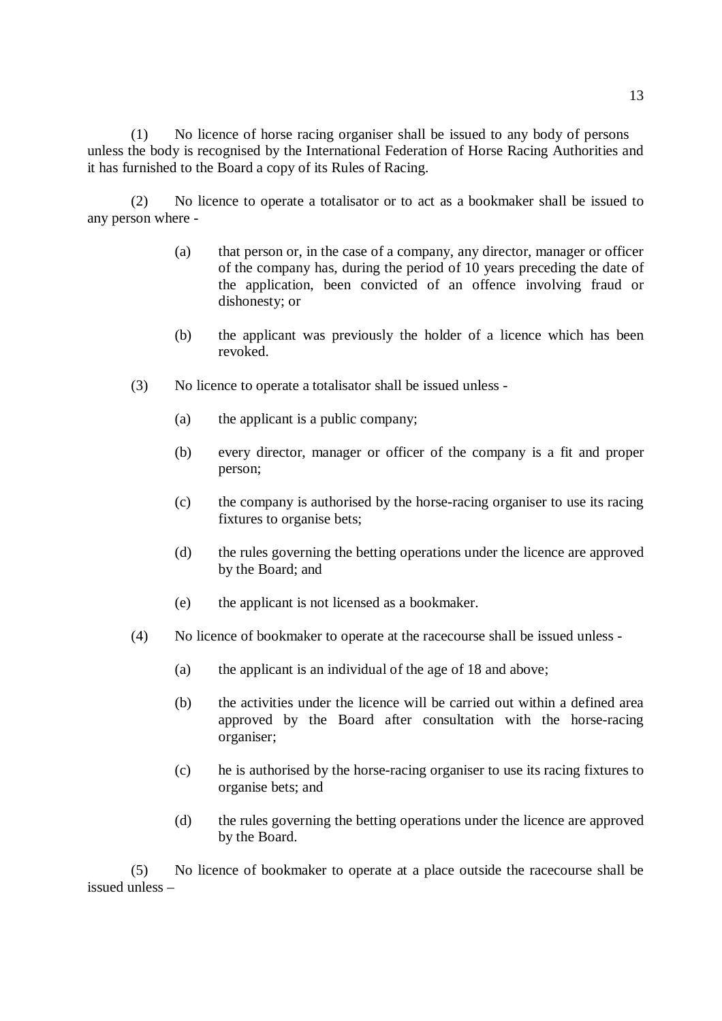(1) No licence of horse racing organiser shall be issued to any body of persons unless the body is recognised by the International Federation of Horse Racing Authorities and it has furnished to the Board a copy of its Rules of Racing.

(2) No licence to operate a totalisator or to act as a bookmaker shall be issued to any person where -

- (a) that person or, in the case of a company, any director, manager or officer of the company has, during the period of 10 years preceding the date of the application, been convicted of an offence involving fraud or dishonesty; or
- (b) the applicant was previously the holder of a licence which has been revoked.
- (3) No licence to operate a totalisator shall be issued unless
	- (a) the applicant is a public company;
	- (b) every director, manager or officer of the company is a fit and proper person;
	- (c) the company is authorised by the horse-racing organiser to use its racing fixtures to organise bets;
	- (d) the rules governing the betting operations under the licence are approved by the Board; and
	- (e) the applicant is not licensed as a bookmaker.
- (4) No licence of bookmaker to operate at the racecourse shall be issued unless
	- (a) the applicant is an individual of the age of 18 and above;
	- (b) the activities under the licence will be carried out within a defined area approved by the Board after consultation with the horse-racing organiser;
	- (c) he is authorised by the horse-racing organiser to use its racing fixtures to organise bets; and
	- (d) the rules governing the betting operations under the licence are approved by the Board.

(5) No licence of bookmaker to operate at a place outside the racecourse shall be issued unless –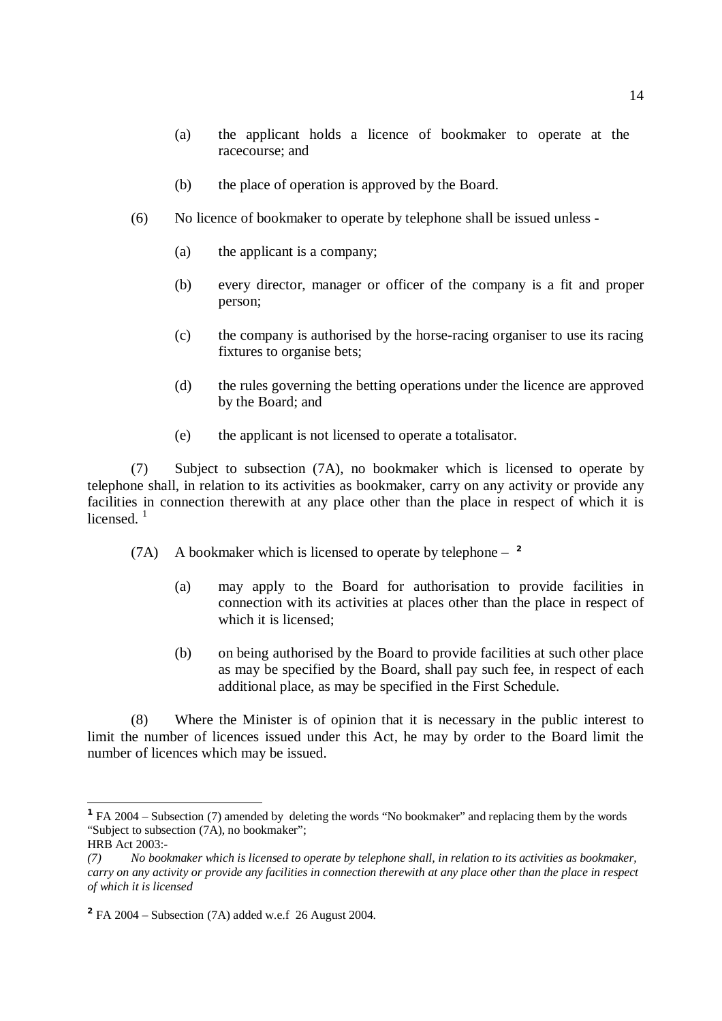- (a) the applicant holds a licence of bookmaker to operate at the racecourse; and
- (b) the place of operation is approved by the Board.
- (6) No licence of bookmaker to operate by telephone shall be issued unless
	- (a) the applicant is a company;
	- (b) every director, manager or officer of the company is a fit and proper person;
	- (c) the company is authorised by the horse-racing organiser to use its racing fixtures to organise bets;
	- (d) the rules governing the betting operations under the licence are approved by the Board; and
	- (e) the applicant is not licensed to operate a totalisator.

(7) Subject to subsection (7A), no bookmaker which is licensed to operate by telephone shall, in relation to its activities as bookmaker, carry on any activity or provide any facilities in connection therewith at any place other than the place in respect of which it is licensed.<sup>1</sup>

- (7A) A bookmaker which is licensed to operate by telephone **2** 
	- (a) may apply to the Board for authorisation to provide facilities in connection with its activities at places other than the place in respect of which it is licensed;
	- (b) on being authorised by the Board to provide facilities at such other place as may be specified by the Board, shall pay such fee, in respect of each additional place, as may be specified in the First Schedule.

 (8) Where the Minister is of opinion that it is necessary in the public interest to limit the number of licences issued under this Act, he may by order to the Board limit the number of licences which may be issued.

<sup>&</sup>lt;sup>1</sup> FA 2004 – Subsection (7) amended by deleting the words "No bookmaker" and replacing them by the words "Subject to subsection (7A), no bookmaker";

HRB Act 2003:-

<sup>(7)</sup> No bookmaker which is licensed to operate by telephone shall, in relation to its activities as bookmaker, carry on any activity or provide any facilities in connection therewith at any place other than the place in respect *of which it is licensed* 

**<sup>2</sup>** FA 2004 – Subsection (7A) added w.e.f 26 August 2004.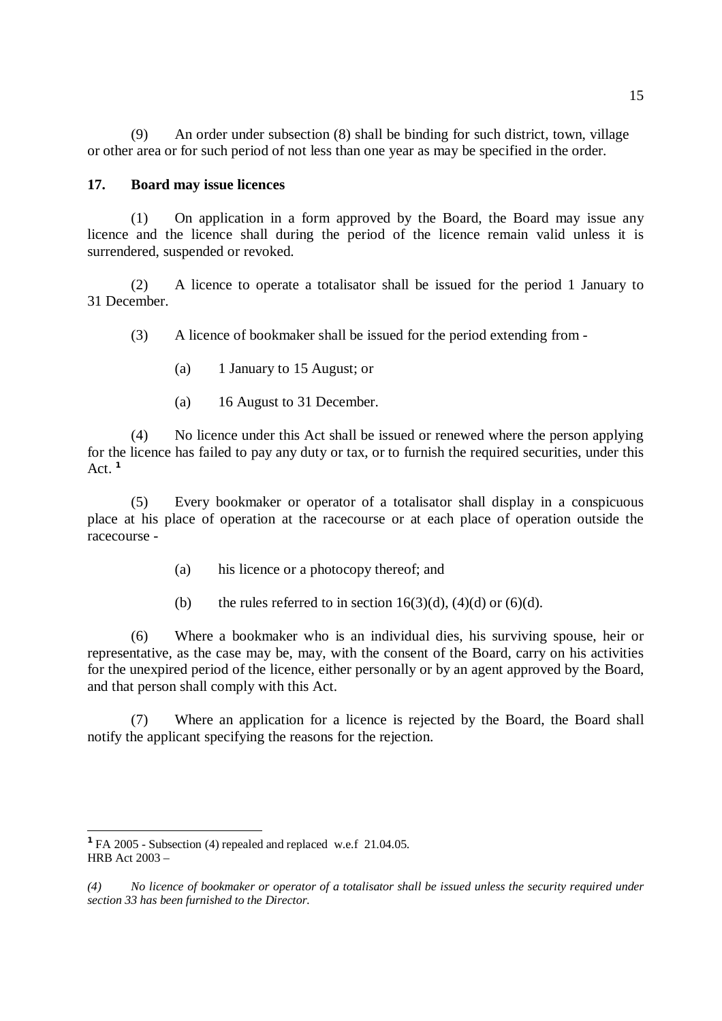(9) An order under subsection (8) shall be binding for such district, town, village or other area or for such period of not less than one year as may be specified in the order.

#### **17. Board may issue licences**

(1) On application in a form approved by the Board, the Board may issue any licence and the licence shall during the period of the licence remain valid unless it is surrendered, suspended or revoked.

(2) A licence to operate a totalisator shall be issued for the period 1 January to 31 December.

(3) A licence of bookmaker shall be issued for the period extending from -

- (a) 1 January to 15 August; or
- (a) 16 August to 31 December.

(4) No licence under this Act shall be issued or renewed where the person applying for the licence has failed to pay any duty or tax, or to furnish the required securities, under this Act. **1**

(5) Every bookmaker or operator of a totalisator shall display in a conspicuous place at his place of operation at the racecourse or at each place of operation outside the racecourse -

- (a) his licence or a photocopy thereof; and
- (b) the rules referred to in section  $16(3)(d)$ ,  $(4)(d)$  or  $(6)(d)$ .

(6) Where a bookmaker who is an individual dies, his surviving spouse, heir or representative, as the case may be, may, with the consent of the Board, carry on his activities for the unexpired period of the licence, either personally or by an agent approved by the Board, and that person shall comply with this Act.

(7) Where an application for a licence is rejected by the Board, the Board shall notify the applicant specifying the reasons for the rejection.

**<sup>1</sup>**FA 2005 - Subsection (4) repealed and replaced w.e.f 21.04.05. HRB Act 2003 –

 $(4)$  No licence of bookmaker or operator of a totalisator shall be issued unless the security required under *section 33 has been furnished to the Director.*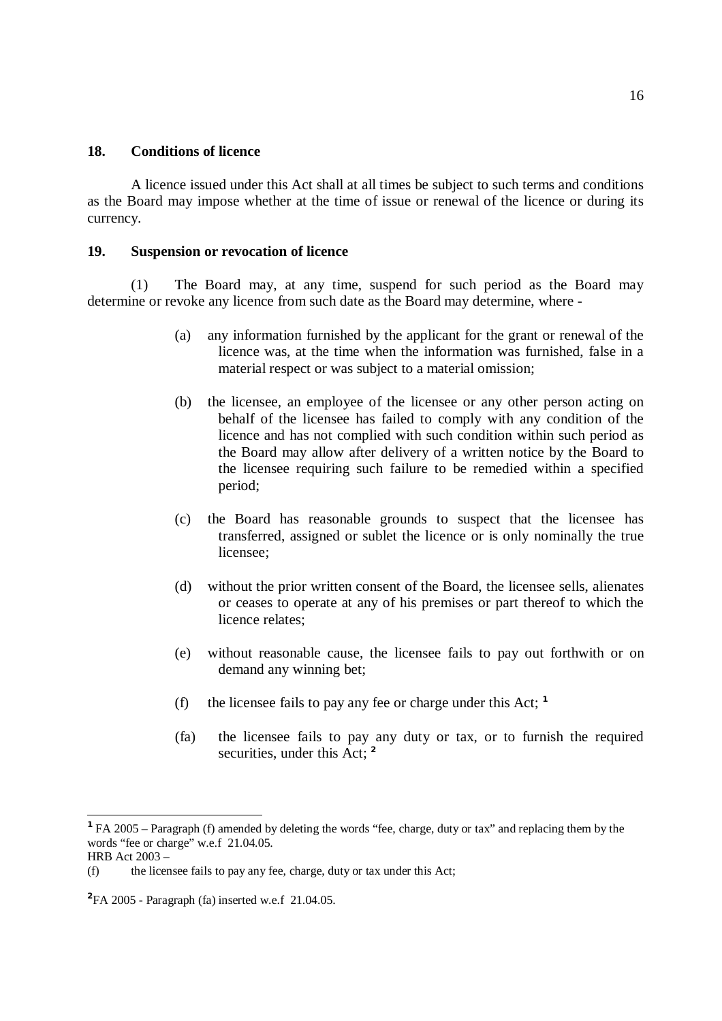#### **18. Conditions of licence**

A licence issued under this Act shall at all times be subject to such terms and conditions as the Board may impose whether at the time of issue or renewal of the licence or during its currency.

### **19. Suspension or revocation of licence**

(1) The Board may, at any time, suspend for such period as the Board may determine or revoke any licence from such date as the Board may determine, where -

- (a) any information furnished by the applicant for the grant or renewal of the licence was, at the time when the information was furnished, false in a material respect or was subject to a material omission;
- (b) the licensee, an employee of the licensee or any other person acting on behalf of the licensee has failed to comply with any condition of the licence and has not complied with such condition within such period as the Board may allow after delivery of a written notice by the Board to the licensee requiring such failure to be remedied within a specified period;
- (c) the Board has reasonable grounds to suspect that the licensee has transferred, assigned or sublet the licence or is only nominally the true licensee;
- (d) without the prior written consent of the Board, the licensee sells, alienates or ceases to operate at any of his premises or part thereof to which the licence relates;
- (e) without reasonable cause, the licensee fails to pay out forthwith or on demand any winning bet;
- (f) the licensee fails to pay any fee or charge under this Act; **<sup>1</sup>**
- (fa) the licensee fails to pay any duty or tax, or to furnish the required securities, under this Act: <sup>2</sup>

**<sup>1</sup>**FA 2005 – Paragraph (f) amended by deleting the words "fee, charge, duty or tax" and replacing them by the words "fee or charge" w.e.f 21.04.05.

HRB Act 2003 –

<sup>(</sup>f) the licensee fails to pay any fee, charge, duty or tax under this Act;

**<sup>2</sup>** FA 2005 - Paragraph (fa) inserted w.e.f 21.04.05.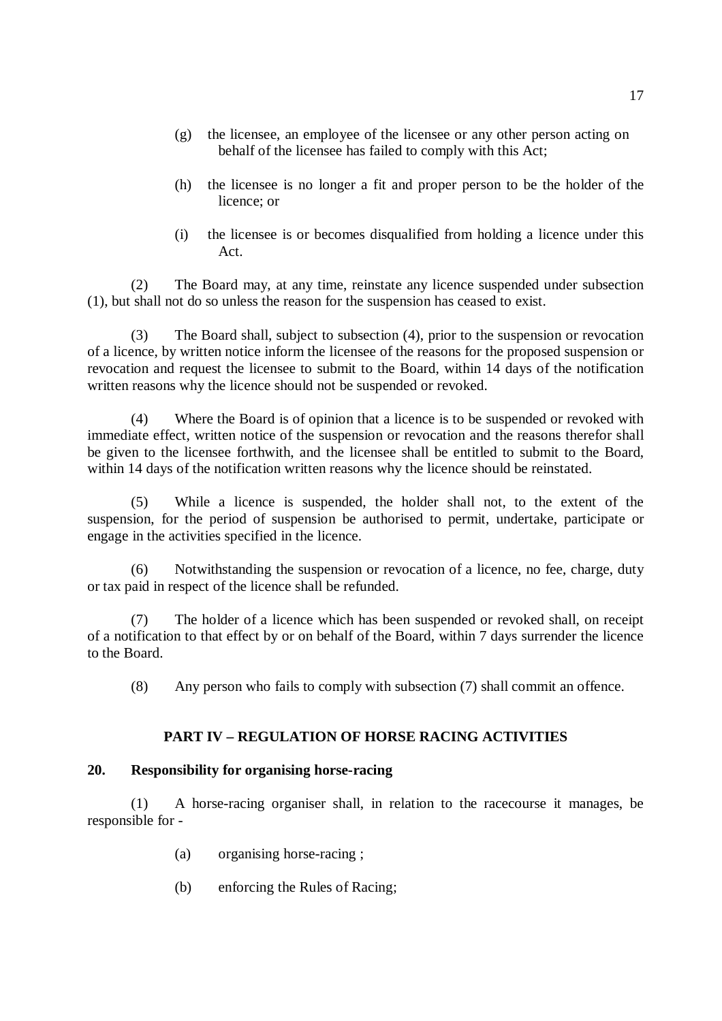- (g) the licensee, an employee of the licensee or any other person acting on behalf of the licensee has failed to comply with this Act;
- (h) the licensee is no longer a fit and proper person to be the holder of the licence; or
- (i) the licensee is or becomes disqualified from holding a licence under this Act.

(2) The Board may, at any time, reinstate any licence suspended under subsection (1), but shall not do so unless the reason for the suspension has ceased to exist.

(3) The Board shall, subject to subsection (4), prior to the suspension or revocation of a licence, by written notice inform the licensee of the reasons for the proposed suspension or revocation and request the licensee to submit to the Board, within 14 days of the notification written reasons why the licence should not be suspended or revoked.

(4) Where the Board is of opinion that a licence is to be suspended or revoked with immediate effect, written notice of the suspension or revocation and the reasons therefor shall be given to the licensee forthwith, and the licensee shall be entitled to submit to the Board, within 14 days of the notification written reasons why the licence should be reinstated.

(5) While a licence is suspended, the holder shall not, to the extent of the suspension, for the period of suspension be authorised to permit, undertake, participate or engage in the activities specified in the licence.

(6) Notwithstanding the suspension or revocation of a licence, no fee, charge, duty or tax paid in respect of the licence shall be refunded.

The holder of a licence which has been suspended or revoked shall, on receipt of a notification to that effect by or on behalf of the Board, within 7 days surrender the licence to the Board.

(8) Any person who fails to comply with subsection (7) shall commit an offence.

# **PART IV – REGULATION OF HORSE RACING ACTIVITIES**

## **20. Responsibility for organising horse-racing**

(1) A horse-racing organiser shall, in relation to the racecourse it manages, be responsible for -

- (a) organising horse-racing ;
- (b) enforcing the Rules of Racing;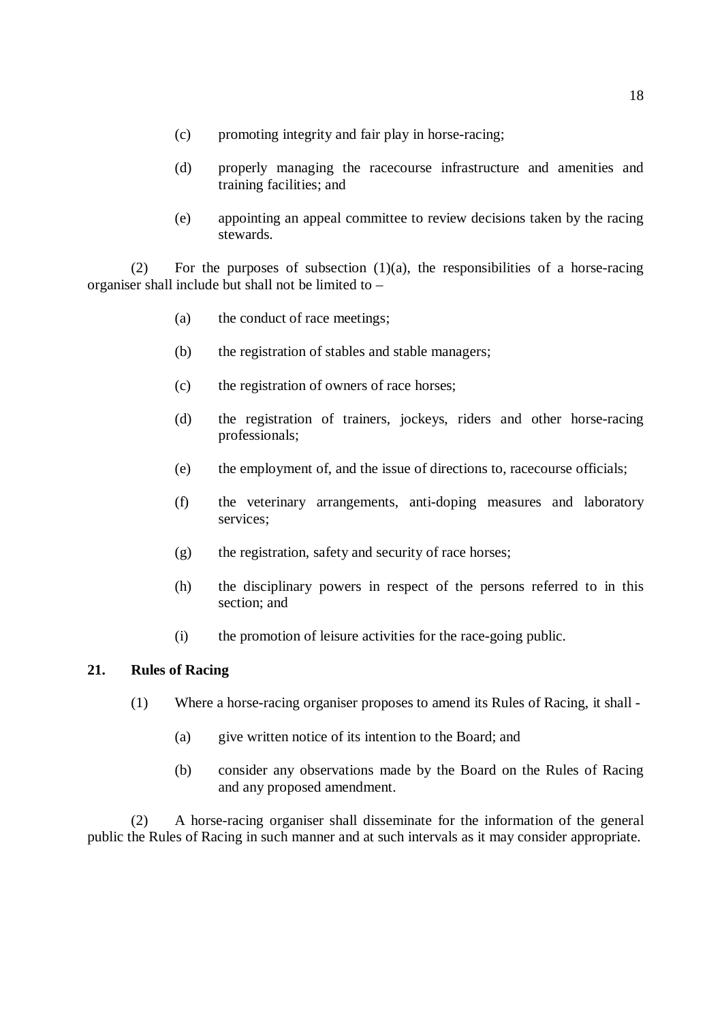- (c) promoting integrity and fair play in horse-racing;
- (d) properly managing the racecourse infrastructure and amenities and training facilities; and
- (e) appointing an appeal committee to review decisions taken by the racing stewards.

(2) For the purposes of subsection  $(1)(a)$ , the responsibilities of a horse-racing organiser shall include but shall not be limited to –

- (a) the conduct of race meetings;
- (b) the registration of stables and stable managers;
- (c) the registration of owners of race horses;
- (d) the registration of trainers, jockeys, riders and other horse-racing professionals;
- (e) the employment of, and the issue of directions to, racecourse officials;
- (f) the veterinary arrangements, anti-doping measures and laboratory services;
- (g) the registration, safety and security of race horses;
- (h) the disciplinary powers in respect of the persons referred to in this section; and
- (i) the promotion of leisure activities for the race-going public.

## **21. Rules of Racing**

- (1) Where a horse-racing organiser proposes to amend its Rules of Racing, it shall
	- (a) give written notice of its intention to the Board; and
	- (b) consider any observations made by the Board on the Rules of Racing and any proposed amendment.

(2) A horse-racing organiser shall disseminate for the information of the general public the Rules of Racing in such manner and at such intervals as it may consider appropriate.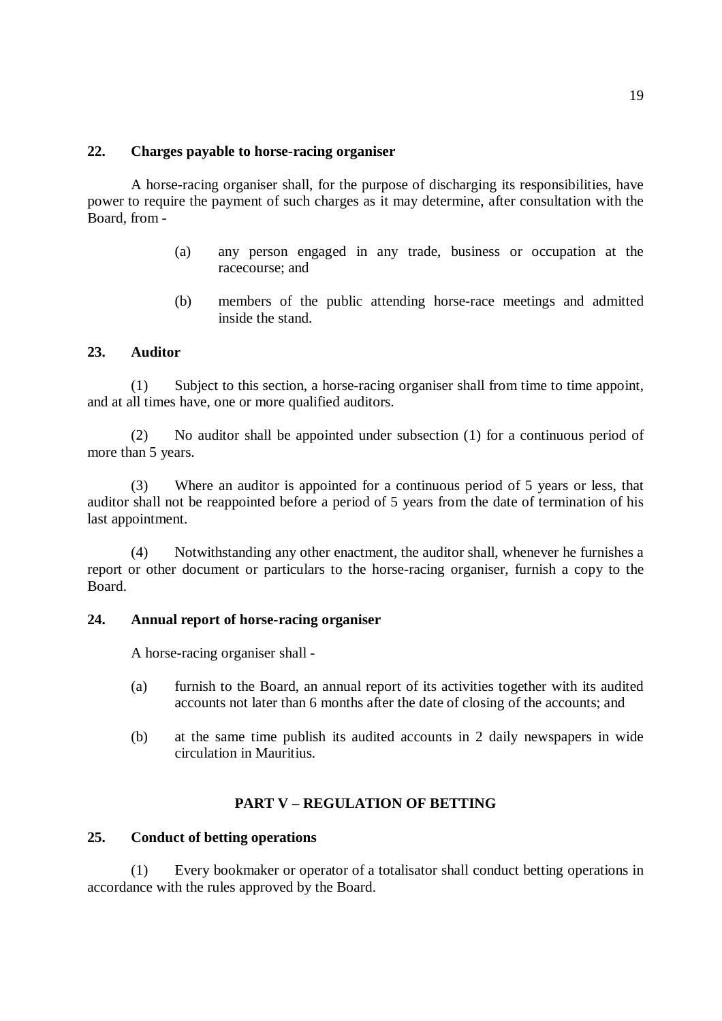## **22. Charges payable to horse-racing organiser**

A horse-racing organiser shall, for the purpose of discharging its responsibilities, have power to require the payment of such charges as it may determine, after consultation with the Board, from -

- (a) any person engaged in any trade, business or occupation at the racecourse; and
- (b) members of the public attending horse-race meetings and admitted inside the stand.

### **23. Auditor**

(1) Subject to this section, a horse-racing organiser shall from time to time appoint, and at all times have, one or more qualified auditors.

(2) No auditor shall be appointed under subsection (1) for a continuous period of more than 5 years.

(3) Where an auditor is appointed for a continuous period of 5 years or less, that auditor shall not be reappointed before a period of 5 years from the date of termination of his last appointment.

(4) Notwithstanding any other enactment, the auditor shall, whenever he furnishes a report or other document or particulars to the horse-racing organiser, furnish a copy to the Board.

## **24. Annual report of horse-racing organiser**

A horse-racing organiser shall -

- (a) furnish to the Board, an annual report of its activities together with its audited accounts not later than 6 months after the date of closing of the accounts; and
- (b) at the same time publish its audited accounts in 2 daily newspapers in wide circulation in Mauritius.

#### **PART V – REGULATION OF BETTING**

#### **25. Conduct of betting operations**

(1) Every bookmaker or operator of a totalisator shall conduct betting operations in accordance with the rules approved by the Board.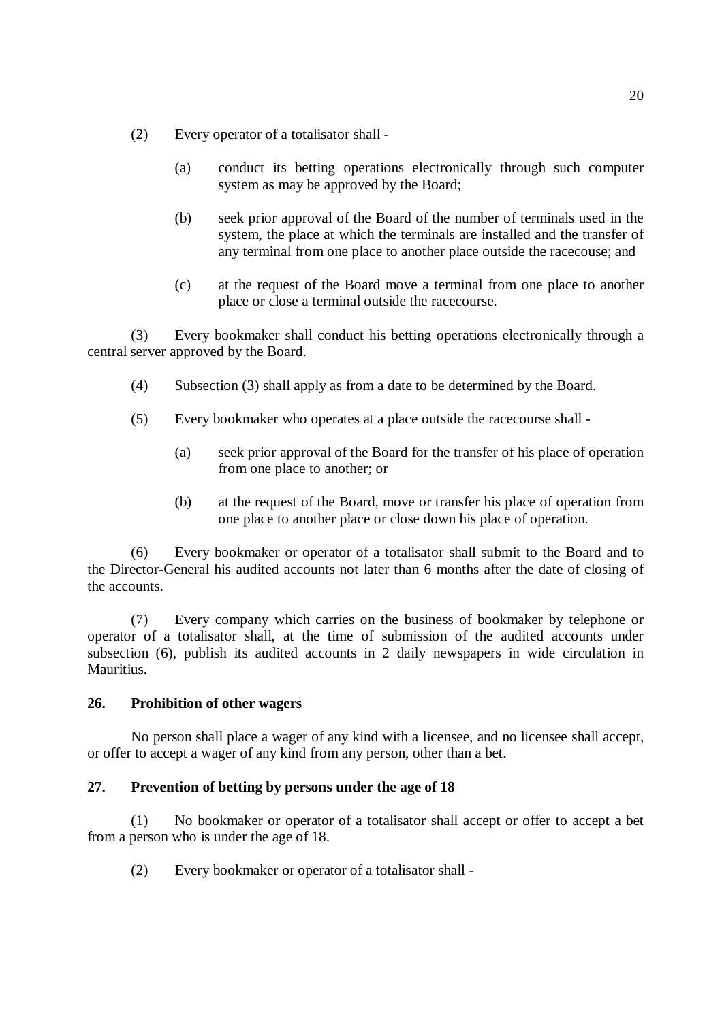- (2) Every operator of a totalisator shall
	- (a) conduct its betting operations electronically through such computer system as may be approved by the Board;
	- (b) seek prior approval of the Board of the number of terminals used in the system, the place at which the terminals are installed and the transfer of any terminal from one place to another place outside the racecouse; and
	- (c) at the request of the Board move a terminal from one place to another place or close a terminal outside the racecourse.

(3) Every bookmaker shall conduct his betting operations electronically through a central server approved by the Board.

- (4) Subsection (3) shall apply as from a date to be determined by the Board.
- (5) Every bookmaker who operates at a place outside the racecourse shall
	- (a) seek prior approval of the Board for the transfer of his place of operation from one place to another; or
	- (b) at the request of the Board, move or transfer his place of operation from one place to another place or close down his place of operation.

(6) Every bookmaker or operator of a totalisator shall submit to the Board and to the Director-General his audited accounts not later than 6 months after the date of closing of the accounts.

(7) Every company which carries on the business of bookmaker by telephone or operator of a totalisator shall, at the time of submission of the audited accounts under subsection (6), publish its audited accounts in 2 daily newspapers in wide circulation in Mauritius.

## **26. Prohibition of other wagers**

No person shall place a wager of any kind with a licensee, and no licensee shall accept, or offer to accept a wager of any kind from any person, other than a bet.

## **27. Prevention of betting by persons under the age of 18**

(1) No bookmaker or operator of a totalisator shall accept or offer to accept a bet from a person who is under the age of 18.

(2) Every bookmaker or operator of a totalisator shall -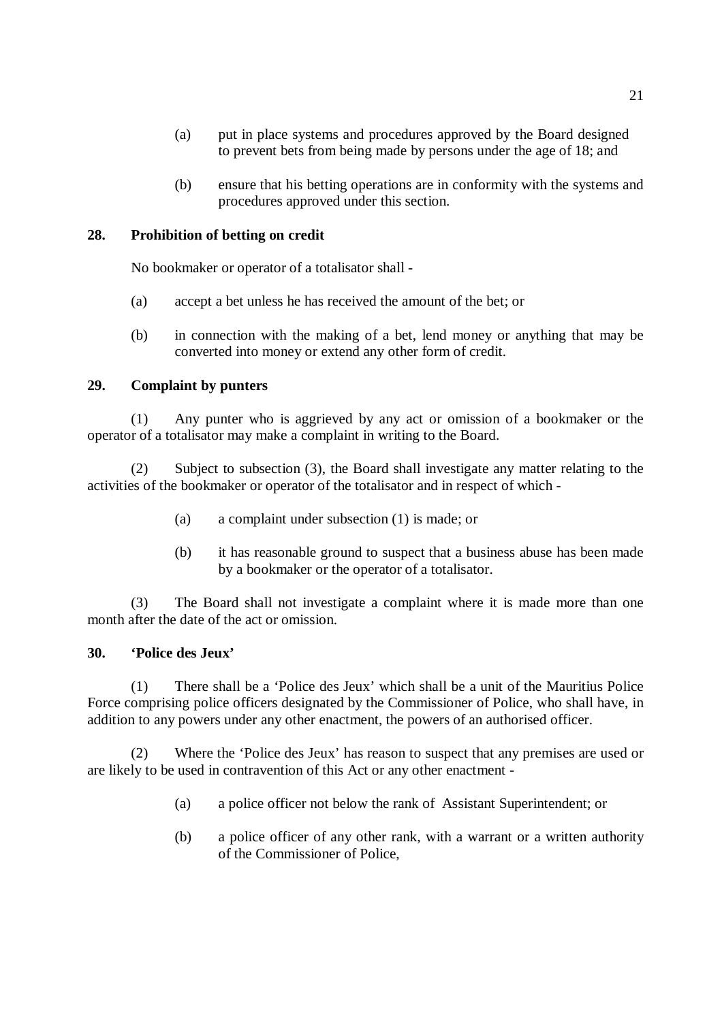- (a) put in place systems and procedures approved by the Board designed to prevent bets from being made by persons under the age of 18; and
- (b) ensure that his betting operations are in conformity with the systems and procedures approved under this section.

## **28. Prohibition of betting on credit**

No bookmaker or operator of a totalisator shall -

- (a) accept a bet unless he has received the amount of the bet; or
- (b) in connection with the making of a bet, lend money or anything that may be converted into money or extend any other form of credit.

### **29. Complaint by punters**

(1) Any punter who is aggrieved by any act or omission of a bookmaker or the operator of a totalisator may make a complaint in writing to the Board.

(2) Subject to subsection (3), the Board shall investigate any matter relating to the activities of the bookmaker or operator of the totalisator and in respect of which -

- (a) a complaint under subsection (1) is made; or
- (b) it has reasonable ground to suspect that a business abuse has been made by a bookmaker or the operator of a totalisator.

(3) The Board shall not investigate a complaint where it is made more than one month after the date of the act or omission.

#### **30. 'Police des Jeux'**

(1) There shall be a 'Police des Jeux' which shall be a unit of the Mauritius Police Force comprising police officers designated by the Commissioner of Police, who shall have, in addition to any powers under any other enactment, the powers of an authorised officer.

(2) Where the 'Police des Jeux' has reason to suspect that any premises are used or are likely to be used in contravention of this Act or any other enactment -

- (a) a police officer not below the rank of Assistant Superintendent; or
- (b) a police officer of any other rank, with a warrant or a written authority of the Commissioner of Police,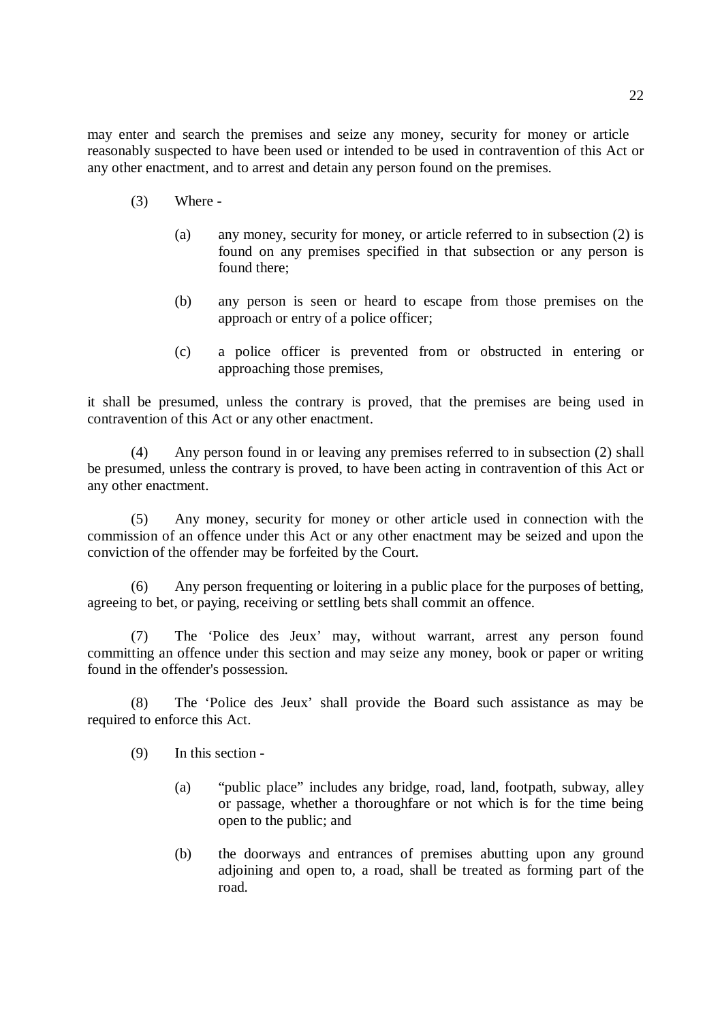may enter and search the premises and seize any money, security for money or article reasonably suspected to have been used or intended to be used in contravention of this Act or any other enactment, and to arrest and detain any person found on the premises.

- $(3)$  Where -
	- (a) any money, security for money, or article referred to in subsection (2) is found on any premises specified in that subsection or any person is found there;
	- (b) any person is seen or heard to escape from those premises on the approach or entry of a police officer;
	- (c) a police officer is prevented from or obstructed in entering or approaching those premises,

it shall be presumed, unless the contrary is proved, that the premises are being used in contravention of this Act or any other enactment.

(4) Any person found in or leaving any premises referred to in subsection (2) shall be presumed, unless the contrary is proved, to have been acting in contravention of this Act or any other enactment.

(5) Any money, security for money or other article used in connection with the commission of an offence under this Act or any other enactment may be seized and upon the conviction of the offender may be forfeited by the Court.

(6) Any person frequenting or loitering in a public place for the purposes of betting, agreeing to bet, or paying, receiving or settling bets shall commit an offence.

(7) The 'Police des Jeux' may, without warrant, arrest any person found committing an offence under this section and may seize any money, book or paper or writing found in the offender's possession.

The 'Police des Jeux' shall provide the Board such assistance as may be required to enforce this Act.

(9) In this section -

- (a) "public place" includes any bridge, road, land, footpath, subway, alley or passage, whether a thoroughfare or not which is for the time being open to the public; and
- (b) the doorways and entrances of premises abutting upon any ground adjoining and open to, a road, shall be treated as forming part of the road.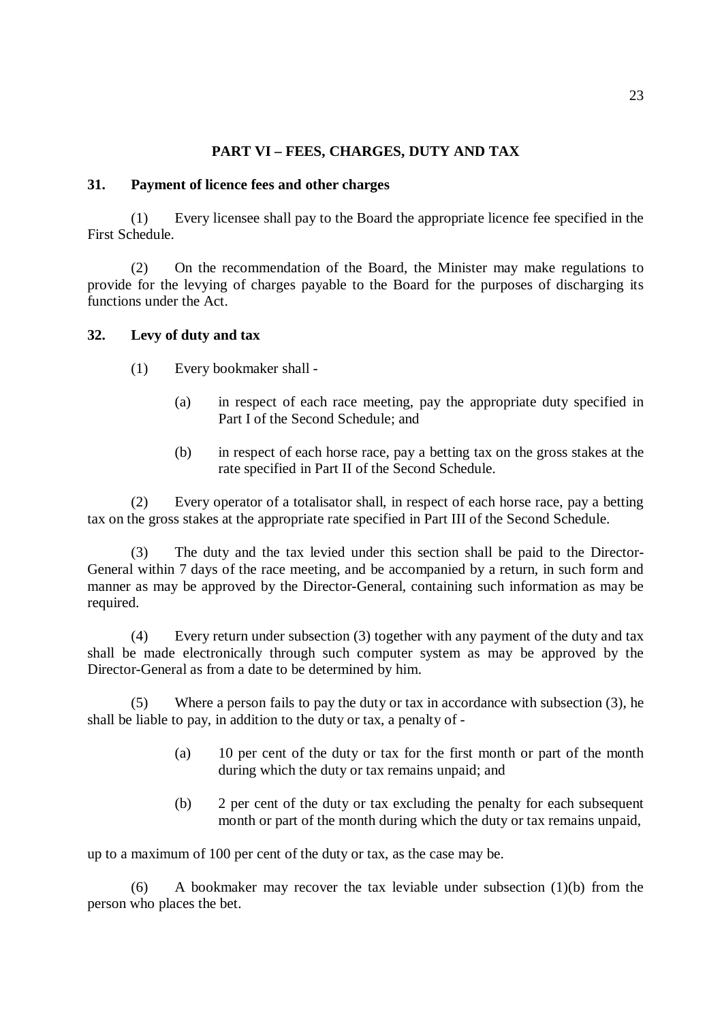# **PART VI – FEES, CHARGES, DUTY AND TAX**

#### **31. Payment of licence fees and other charges**

(1) Every licensee shall pay to the Board the appropriate licence fee specified in the First Schedule.

(2) On the recommendation of the Board, the Minister may make regulations to provide for the levying of charges payable to the Board for the purposes of discharging its functions under the Act.

## **32. Levy of duty and tax**

(1) Every bookmaker shall -

- (a) in respect of each race meeting, pay the appropriate duty specified in Part I of the Second Schedule; and
- (b) in respect of each horse race, pay a betting tax on the gross stakes at the rate specified in Part II of the Second Schedule.

(2) Every operator of a totalisator shall, in respect of each horse race, pay a betting tax on the gross stakes at the appropriate rate specified in Part III of the Second Schedule.

(3) The duty and the tax levied under this section shall be paid to the Director-General within 7 days of the race meeting, and be accompanied by a return, in such form and manner as may be approved by the Director-General, containing such information as may be required.

(4) Every return under subsection (3) together with any payment of the duty and tax shall be made electronically through such computer system as may be approved by the Director-General as from a date to be determined by him.

Where a person fails to pay the duty or tax in accordance with subsection  $(3)$ , he shall be liable to pay, in addition to the duty or tax, a penalty of -

- (a) 10 per cent of the duty or tax for the first month or part of the month during which the duty or tax remains unpaid; and
- (b) 2 per cent of the duty or tax excluding the penalty for each subsequent month or part of the month during which the duty or tax remains unpaid,

up to a maximum of 100 per cent of the duty or tax, as the case may be.

(6) A bookmaker may recover the tax leviable under subsection (1)(b) from the person who places the bet.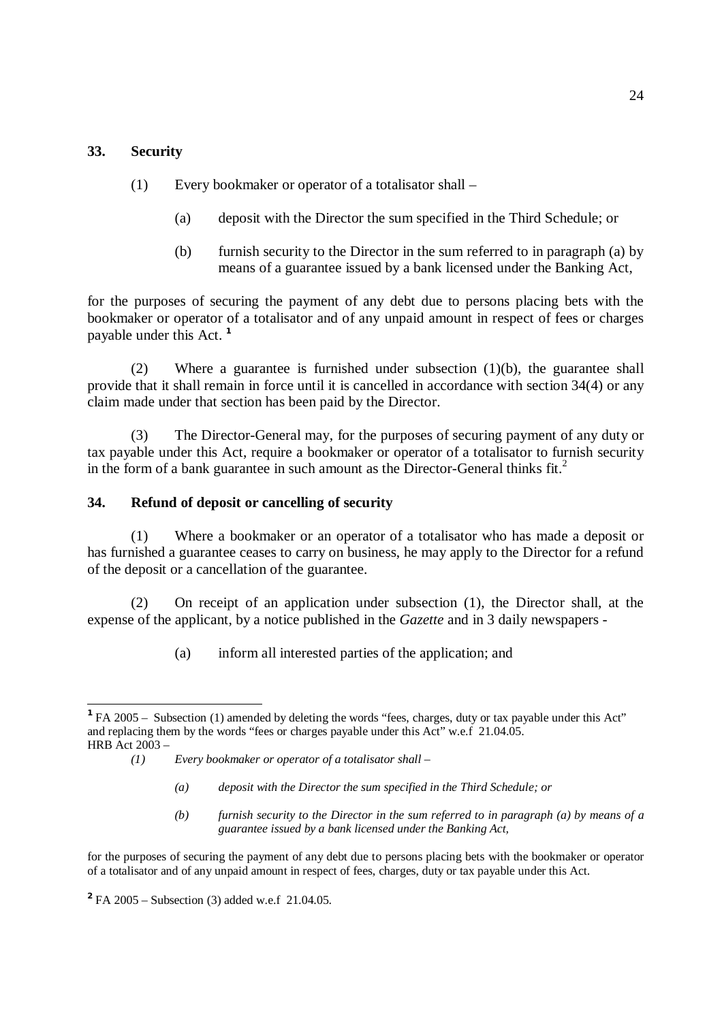## **33. Security**

 $\overline{a}$ 

- (1) Every bookmaker or operator of a totalisator shall
	- (a) deposit with the Director the sum specified in the Third Schedule; or
	- (b) furnish security to the Director in the sum referred to in paragraph (a) by means of a guarantee issued by a bank licensed under the Banking Act,

for the purposes of securing the payment of any debt due to persons placing bets with the bookmaker or operator of a totalisator and of any unpaid amount in respect of fees or charges payable under this Act. **1** 

(2) Where a guarantee is furnished under subsection (1)(b), the guarantee shall provide that it shall remain in force until it is cancelled in accordance with section 34(4) or any claim made under that section has been paid by the Director.

(3) The Director-General may, for the purposes of securing payment of any duty or tax payable under this Act, require a bookmaker or operator of a totalisator to furnish security in the form of a bank guarantee in such amount as the Director-General thinks  $fit<sup>2</sup>$ .

## **34. Refund of deposit or cancelling of security**

(1) Where a bookmaker or an operator of a totalisator who has made a deposit or has furnished a guarantee ceases to carry on business, he may apply to the Director for a refund of the deposit or a cancellation of the guarantee.

(2) On receipt of an application under subsection (1), the Director shall, at the expense of the applicant, by a notice published in the *Gazette* and in 3 daily newspapers -

(a) inform all interested parties of the application; and

- *(a) deposit with the Director the sum specified in the Third Schedule; or*
- *(b) furnish security to the Director in the sum referred to in paragraph (a) by means of a guarantee issued by a bank licensed under the Banking Act,*

for the purposes of securing the payment of any debt due to persons placing bets with the bookmaker or operator of a totalisator and of any unpaid amount in respect of fees, charges, duty or tax payable under this Act.

**<sup>2</sup>**FA 2005 – Subsection (3) added w.e.f 21.04.05.

**<sup>1</sup>**FA 2005 – Subsection (1) amended by deleting the words "fees, charges, duty or tax payable under this Act" and replacing them by the words "fees or charges payable under this Act" w.e.f 21.04.05. HRB Act 2003 –

*<sup>(1)</sup> Every bookmaker or operator of a totalisator shall –*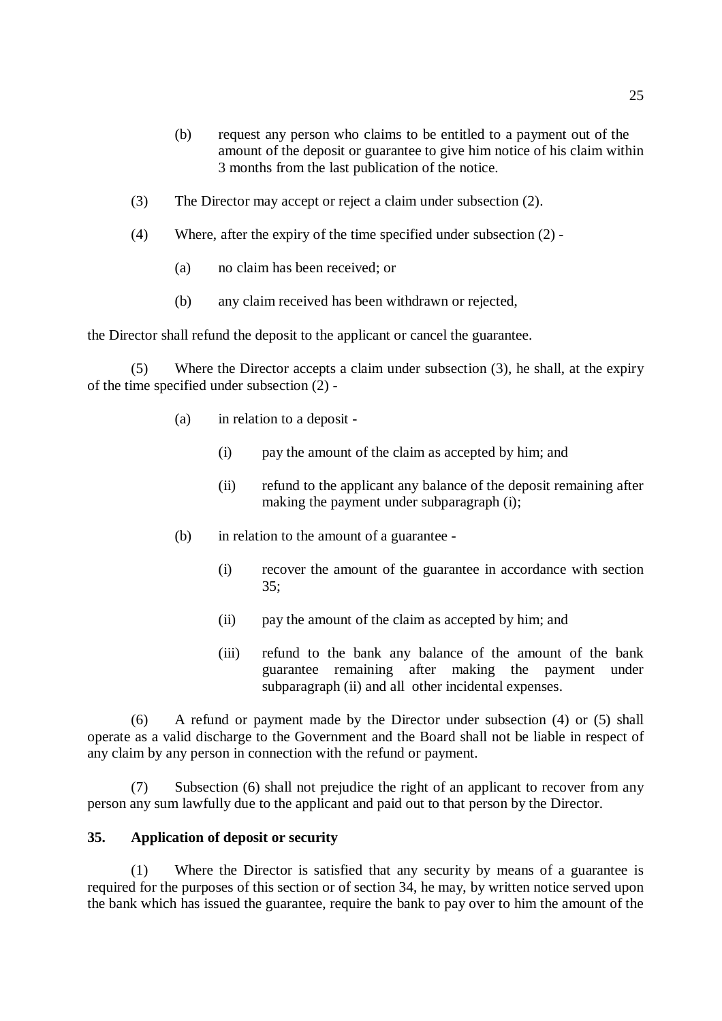- (b) request any person who claims to be entitled to a payment out of the amount of the deposit or guarantee to give him notice of his claim within 3 months from the last publication of the notice.
- (3) The Director may accept or reject a claim under subsection (2).
- (4) Where, after the expiry of the time specified under subsection (2)
	- (a) no claim has been received; or
	- (b) any claim received has been withdrawn or rejected,

the Director shall refund the deposit to the applicant or cancel the guarantee.

(5) Where the Director accepts a claim under subsection (3), he shall, at the expiry of the time specified under subsection (2) -

- (a) in relation to a deposit
	- (i) pay the amount of the claim as accepted by him; and
	- (ii) refund to the applicant any balance of the deposit remaining after making the payment under subparagraph (i);
- (b) in relation to the amount of a guarantee
	- (i) recover the amount of the guarantee in accordance with section 35;
	- (ii) pay the amount of the claim as accepted by him; and
	- (iii) refund to the bank any balance of the amount of the bank guarantee remaining after making the payment under subparagraph (ii) and all other incidental expenses.

(6) A refund or payment made by the Director under subsection (4) or (5) shall operate as a valid discharge to the Government and the Board shall not be liable in respect of any claim by any person in connection with the refund or payment.

(7) Subsection (6) shall not prejudice the right of an applicant to recover from any person any sum lawfully due to the applicant and paid out to that person by the Director.

## **35. Application of deposit or security**

(1) Where the Director is satisfied that any security by means of a guarantee is required for the purposes of this section or of section 34, he may, by written notice served upon the bank which has issued the guarantee, require the bank to pay over to him the amount of the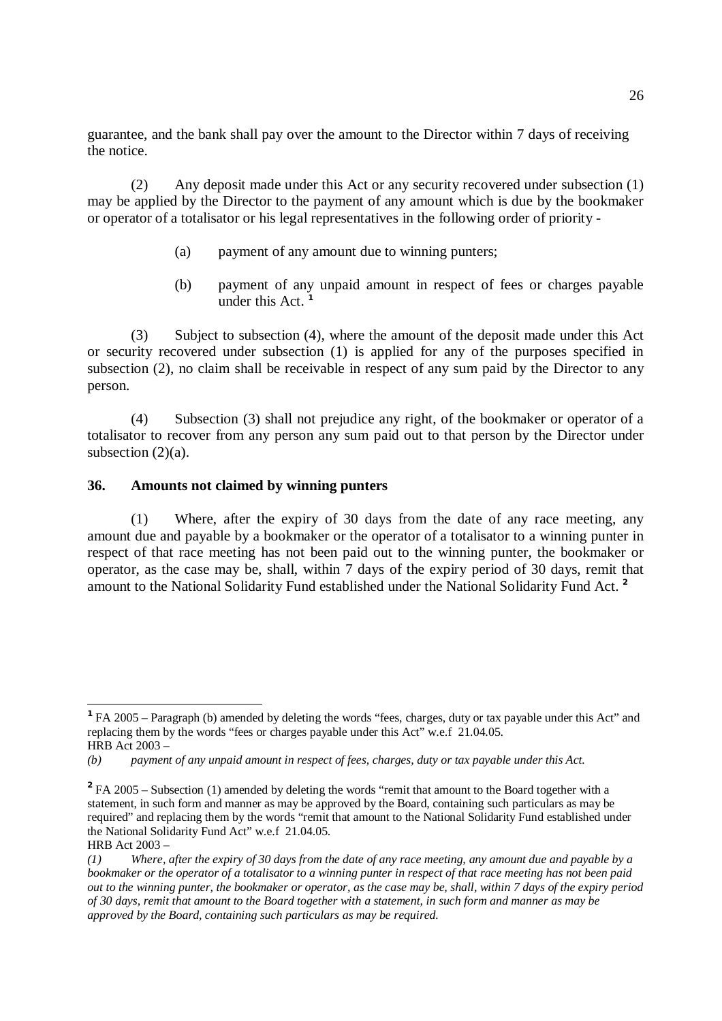guarantee, and the bank shall pay over the amount to the Director within 7 days of receiving the notice.

(2) Any deposit made under this Act or any security recovered under subsection (1) may be applied by the Director to the payment of any amount which is due by the bookmaker or operator of a totalisator or his legal representatives in the following order of priority -

- (a) payment of any amount due to winning punters;
- (b) payment of any unpaid amount in respect of fees or charges payable under this Act. **1**

(3) Subject to subsection (4), where the amount of the deposit made under this Act or security recovered under subsection (1) is applied for any of the purposes specified in subsection (2), no claim shall be receivable in respect of any sum paid by the Director to any person.

(4) Subsection (3) shall not prejudice any right, of the bookmaker or operator of a totalisator to recover from any person any sum paid out to that person by the Director under subsection  $(2)(a)$ .

## **36. Amounts not claimed by winning punters**

(1) Where, after the expiry of 30 days from the date of any race meeting, any amount due and payable by a bookmaker or the operator of a totalisator to a winning punter in respect of that race meeting has not been paid out to the winning punter, the bookmaker or operator, as the case may be, shall, within 7 days of the expiry period of 30 days, remit that amount to the National Solidarity Fund established under the National Solidarity Fund Act. **2** 

**<sup>1</sup>**FA 2005 – Paragraph (b) amended by deleting the words "fees, charges, duty or tax payable under this Act" and replacing them by the words "fees or charges payable under this Act" w.e.f 21.04.05. HRB Act 2003 –

*<sup>(</sup>b) payment of any unpaid amount in respect of fees, charges, duty or tax payable under this Act.* 

<sup>&</sup>lt;sup>2</sup>FA 2005 – Subsection (1) amended by deleting the words "remit that amount to the Board together with a statement, in such form and manner as may be approved by the Board, containing such particulars as may be required" and replacing them by the words "remit that amount to the National Solidarity Fund established under the National Solidarity Fund Act" w.e.f 21.04.05.

HRB Act 2003 –

 $(1)$  Where, after the expiry of 30 days from the date of any race meeting, any amount due and payable by a bookmaker or the operator of a totalisator to a winning punter in respect of that race meeting has not been paid out to the winning punter, the bookmaker or operator, as the case may be, shall, within 7 days of the expiry period of 30 days, remit that amount to the Board together with a statement, in such form and manner as may be *approved by the Board, containing such particulars as may be required.*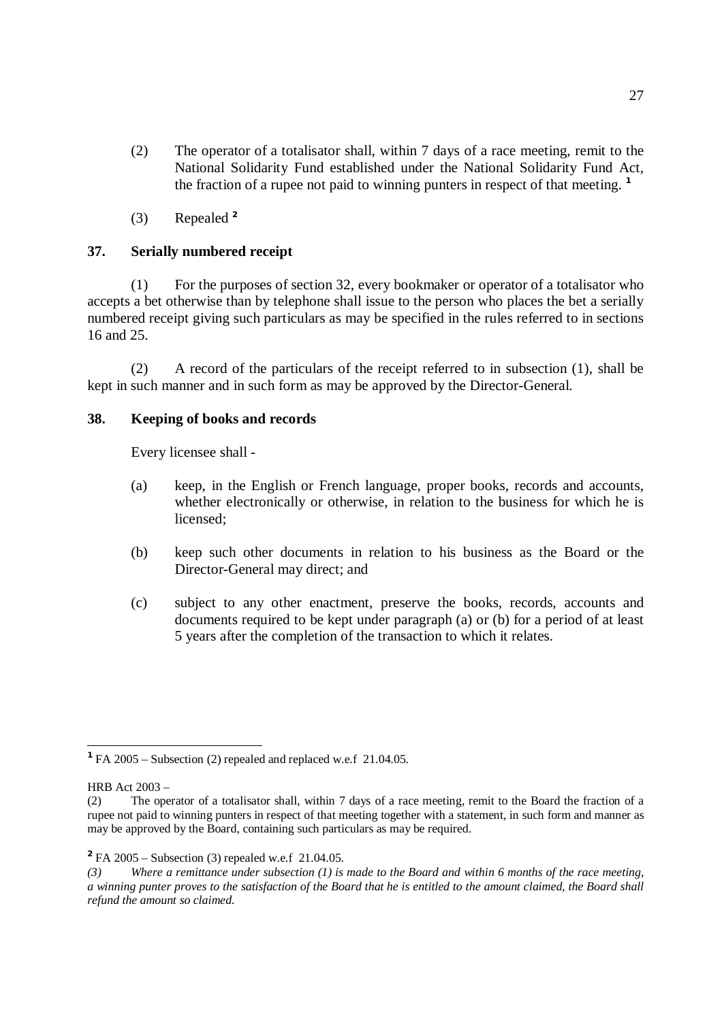- (2) The operator of a totalisator shall, within 7 days of a race meeting, remit to the National Solidarity Fund established under the National Solidarity Fund Act, the fraction of a rupee not paid to winning punters in respect of that meeting. **1**
- (3) Repealed **<sup>2</sup>**

# **37. Serially numbered receipt**

(1) For the purposes of section 32, every bookmaker or operator of a totalisator who accepts a bet otherwise than by telephone shall issue to the person who places the bet a serially numbered receipt giving such particulars as may be specified in the rules referred to in sections 16 and 25.

(2) A record of the particulars of the receipt referred to in subsection (1), shall be kept in such manner and in such form as may be approved by the Director-General.

# **38. Keeping of books and records**

Every licensee shall -

- (a) keep, in the English or French language, proper books, records and accounts, whether electronically or otherwise, in relation to the business for which he is licensed;
- (b) keep such other documents in relation to his business as the Board or the Director-General may direct; and
- (c) subject to any other enactment, preserve the books, records, accounts and documents required to be kept under paragraph (a) or (b) for a period of at least 5 years after the completion of the transaction to which it relates.

**<sup>1</sup>**FA 2005 – Subsection (2) repealed and replaced w.e.f 21.04.05.

HRB Act 2003 –

<sup>(2)</sup> The operator of a totalisator shall, within 7 days of a race meeting, remit to the Board the fraction of a rupee not paid to winning punters in respect of that meeting together with a statement, in such form and manner as may be approved by the Board, containing such particulars as may be required.

**<sup>2</sup>**FA 2005 – Subsection (3) repealed w.e.f 21.04.05.

 $(3)$  Where a remittance under subsection (1) is made to the Board and within 6 months of the race meeting, a winning punter proves to the satisfaction of the Board that he is entitled to the amount claimed, the Board shall *refund the amount so claimed.*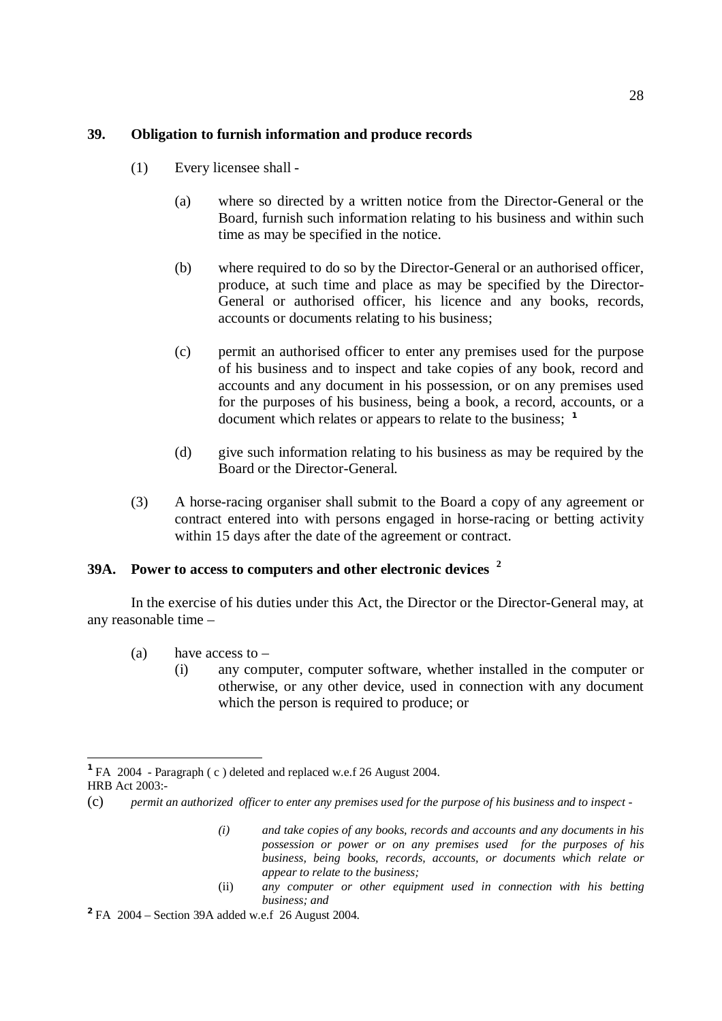## **39. Obligation to furnish information and produce records**

- (1) Every licensee shall
	- (a) where so directed by a written notice from the Director-General or the Board, furnish such information relating to his business and within such time as may be specified in the notice.
	- (b) where required to do so by the Director-General or an authorised officer, produce, at such time and place as may be specified by the Director-General or authorised officer, his licence and any books, records, accounts or documents relating to his business;
	- (c) permit an authorised officer to enter any premises used for the purpose of his business and to inspect and take copies of any book, record and accounts and any document in his possession, or on any premises used for the purposes of his business, being a book, a record, accounts, or a document which relates or appears to relate to the business; **1**
	- (d) give such information relating to his business as may be required by the Board or the Director-General.
- (3) A horse-racing organiser shall submit to the Board a copy of any agreement or contract entered into with persons engaged in horse-racing or betting activity within 15 days after the date of the agreement or contract.

# **39A. Power to access to computers and other electronic devices 2**

In the exercise of his duties under this Act, the Director or the Director-General may, at any reasonable time –

(a) have access to  $-$ 

 $\overline{a}$ 

(i) any computer, computer software, whether installed in the computer or otherwise, or any other device, used in connection with any document which the person is required to produce; or

(ii) *any computer or other equipment used in connection with his betting business; and*

**<sup>1</sup>**FA 2004 - Paragraph ( c ) deleted and replaced w.e.f 26 August 2004. HRB Act 2003:-

<sup>(</sup>c) permit an authorized officer to enter any premises used for the purpose of his business and to inspect -

*<sup>(</sup>i) and take copies of any books, records and accounts and any documents in his possession or power or on any premises used for the purposes of his business, being books, records, accounts, or documents which relate or appear to relate to the business;* 

**<sup>2</sup>**FA 2004 – Section 39A added w.e.f 26 August 2004.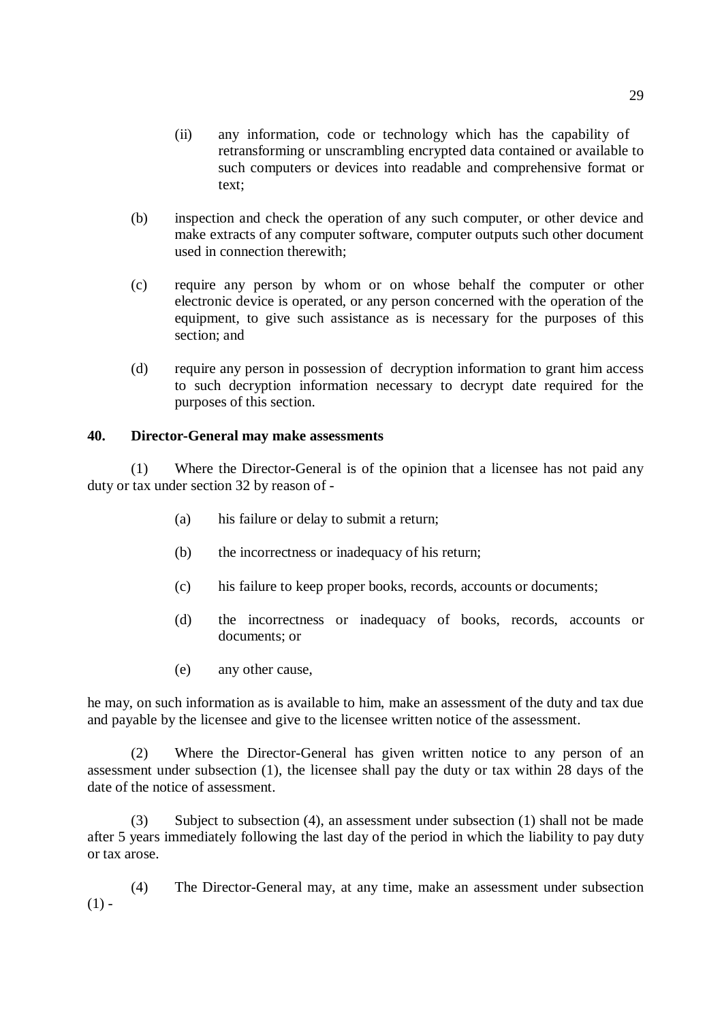- (ii) any information, code or technology which has the capability of retransforming or unscrambling encrypted data contained or available to such computers or devices into readable and comprehensive format or text;
- (b) inspection and check the operation of any such computer, or other device and make extracts of any computer software, computer outputs such other document used in connection therewith;
- (c) require any person by whom or on whose behalf the computer or other electronic device is operated, or any person concerned with the operation of the equipment, to give such assistance as is necessary for the purposes of this section; and
- (d) require any person in possession of decryption information to grant him access to such decryption information necessary to decrypt date required for the purposes of this section.

## **40. Director-General may make assessments**

(1) Where the Director-General is of the opinion that a licensee has not paid any duty or tax under section 32 by reason of -

- (a) his failure or delay to submit a return;
- (b) the incorrectness or inadequacy of his return;
- (c) his failure to keep proper books, records, accounts or documents;
- (d) the incorrectness or inadequacy of books, records, accounts or documents; or
- (e) any other cause,

he may, on such information as is available to him, make an assessment of the duty and tax due and payable by the licensee and give to the licensee written notice of the assessment.

(2) Where the Director-General has given written notice to any person of an assessment under subsection (1), the licensee shall pay the duty or tax within 28 days of the date of the notice of assessment.

(3) Subject to subsection (4), an assessment under subsection (1) shall not be made after 5 years immediately following the last day of the period in which the liability to pay duty or tax arose.

(4) The Director-General may, at any time, make an assessment under subsection  $(1) -$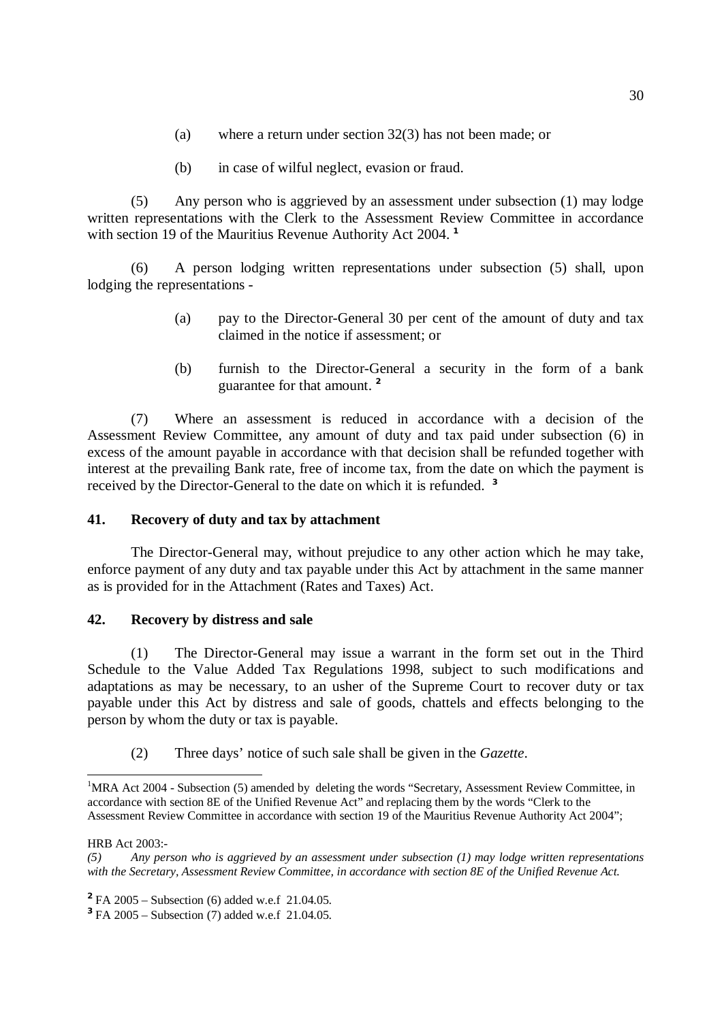- (a) where a return under section 32(3) has not been made; or
- (b) in case of wilful neglect, evasion or fraud.

(5) Any person who is aggrieved by an assessment under subsection (1) may lodge written representations with the Clerk to the Assessment Review Committee in accordance with section 19 of the Mauritius Revenue Authority Act 2004. **1**

(6) A person lodging written representations under subsection (5) shall, upon lodging the representations -

- (a) pay to the Director-General 30 per cent of the amount of duty and tax claimed in the notice if assessment; or
- (b) furnish to the Director-General a security in the form of a bank guarantee for that amount. **2**

(7) Where an assessment is reduced in accordance with a decision of the Assessment Review Committee, any amount of duty and tax paid under subsection (6) in excess of the amount payable in accordance with that decision shall be refunded together with interest at the prevailing Bank rate, free of income tax, from the date on which the payment is received by the Director-General to the date on which it is refunded. **3** 

#### **41. Recovery of duty and tax by attachment**

The Director-General may, without prejudice to any other action which he may take, enforce payment of any duty and tax payable under this Act by attachment in the same manner as is provided for in the Attachment (Rates and Taxes) Act.

## **42. Recovery by distress and sale**

(1) The Director-General may issue a warrant in the form set out in the Third Schedule to the Value Added Tax Regulations 1998, subject to such modifications and adaptations as may be necessary, to an usher of the Supreme Court to recover duty or tax payable under this Act by distress and sale of goods, chattels and effects belonging to the person by whom the duty or tax is payable.

(2) Three days' notice of such sale shall be given in the *Gazette*.

<sup>&</sup>lt;sup>1</sup>MRA Act 2004 - Subsection (5) amended by deleting the words "Secretary, Assessment Review Committee, in accordance with section 8E of the Unified Revenue Act" and replacing them by the words "Clerk to the Assessment Review Committee in accordance with section 19 of the Mauritius Revenue Authority Act 2004";

HRB Act 2003:-

*<sup>(5)</sup> Any person who is aggrieved by an assessment under subsection (1) may lodge written representations with the Secretary, Assessment Review Committee, in accordance with section 8E of the Unified Revenue Act.* 

**<sup>2</sup>**FA 2005 – Subsection (6) added w.e.f 21.04.05.

**<sup>3</sup>**FA 2005 – Subsection (7) added w.e.f 21.04.05.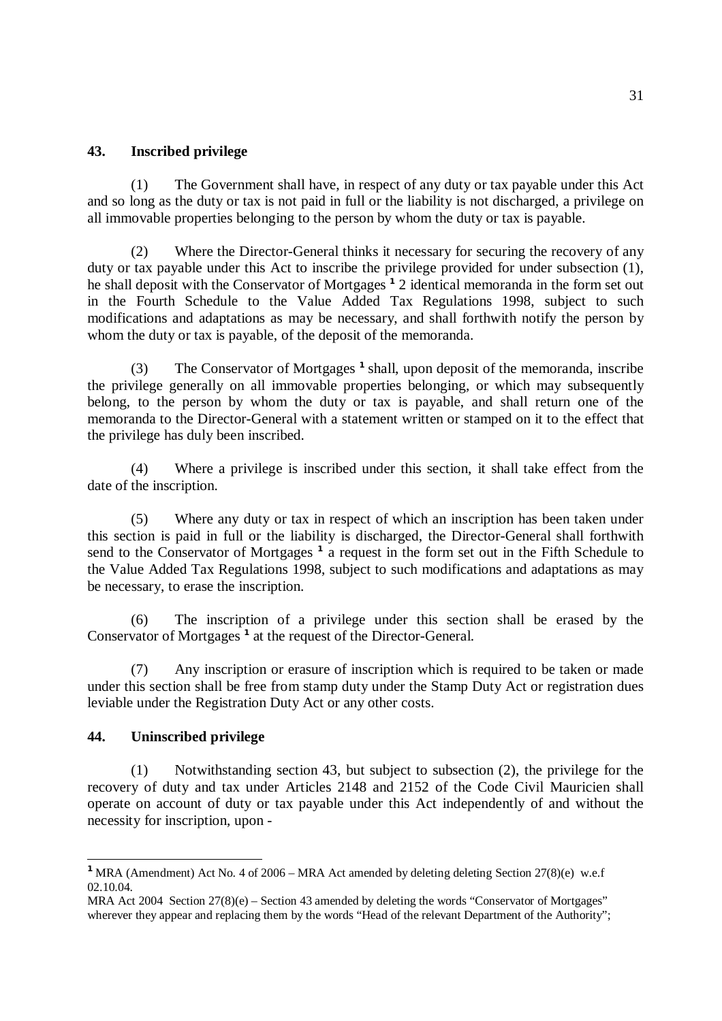## **43. Inscribed privilege**

(1) The Government shall have, in respect of any duty or tax payable under this Act and so long as the duty or tax is not paid in full or the liability is not discharged, a privilege on all immovable properties belonging to the person by whom the duty or tax is payable.

(2) Where the Director-General thinks it necessary for securing the recovery of any duty or tax payable under this Act to inscribe the privilege provided for under subsection (1), he shall deposit with the Conservator of Mortgages **<sup>1</sup>** 2 identical memoranda in the form set out in the Fourth Schedule to the Value Added Tax Regulations 1998, subject to such modifications and adaptations as may be necessary, and shall forthwith notify the person by whom the duty or tax is payable, of the deposit of the memoranda.

(3) The Conservator of Mortgages **<sup>1</sup>**shall, upon deposit of the memoranda, inscribe the privilege generally on all immovable properties belonging, or which may subsequently belong, to the person by whom the duty or tax is payable, and shall return one of the memoranda to the Director-General with a statement written or stamped on it to the effect that the privilege has duly been inscribed.

(4) Where a privilege is inscribed under this section, it shall take effect from the date of the inscription.

(5) Where any duty or tax in respect of which an inscription has been taken under this section is paid in full or the liability is discharged, the Director-General shall forthwith send to the Conservator of Mortgages **<sup>1</sup>** a request in the form set out in the Fifth Schedule to the Value Added Tax Regulations 1998, subject to such modifications and adaptations as may be necessary, to erase the inscription.

(6) The inscription of a privilege under this section shall be erased by the Conservator of Mortgages **<sup>1</sup>** at the request of the Director-General.

(7) Any inscription or erasure of inscription which is required to be taken or made under this section shall be free from stamp duty under the Stamp Duty Act or registration dues leviable under the Registration Duty Act or any other costs.

## **44. Uninscribed privilege**

 $\overline{a}$ 

(1) Notwithstanding section 43, but subject to subsection (2), the privilege for the recovery of duty and tax under Articles 2148 and 2152 of the Code Civil Mauricien shall operate on account of duty or tax payable under this Act independently of and without the necessity for inscription, upon -

<sup>&</sup>lt;sup>1</sup> MRA (Amendment) Act No. 4 of 2006 – MRA Act amended by deleting deleting Section 27(8)(e) w.e.f 02.10.04.

MRA Act 2004 Section 27(8)(e) – Section 43 amended by deleting the words "Conservator of Mortgages" wherever they appear and replacing them by the words "Head of the relevant Department of the Authority";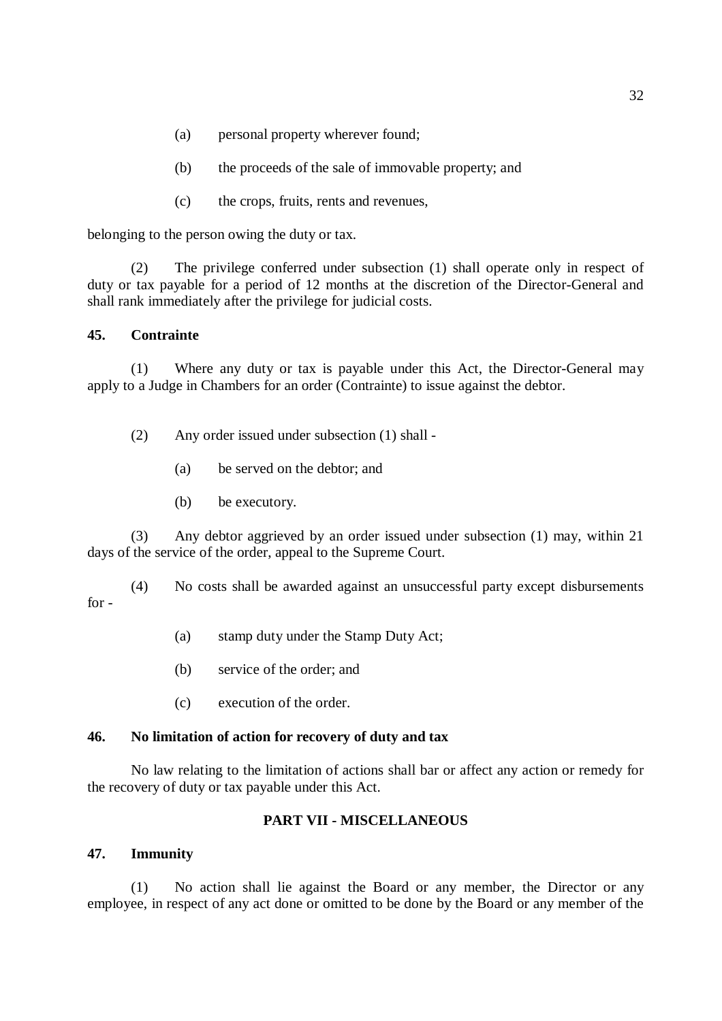- (a) personal property wherever found;
- (b) the proceeds of the sale of immovable property; and
- (c) the crops, fruits, rents and revenues,

belonging to the person owing the duty or tax.

(2) The privilege conferred under subsection (1) shall operate only in respect of duty or tax payable for a period of 12 months at the discretion of the Director-General and shall rank immediately after the privilege for judicial costs.

## **45. Contrainte**

(1) Where any duty or tax is payable under this Act, the Director-General may apply to a Judge in Chambers for an order (Contrainte) to issue against the debtor.

- (2) Any order issued under subsection (1) shall
	- (a) be served on the debtor; and
	- (b) be executory.

(3) Any debtor aggrieved by an order issued under subsection (1) may, within 21 days of the service of the order, appeal to the Supreme Court.

(4) No costs shall be awarded against an unsuccessful party except disbursements for -

- (a) stamp duty under the Stamp Duty Act;
- (b) service of the order; and
- (c) execution of the order.

## **46. No limitation of action for recovery of duty and tax**

No law relating to the limitation of actions shall bar or affect any action or remedy for the recovery of duty or tax payable under this Act.

# **PART VII - MISCELLANEOUS**

## **47. Immunity**

(1) No action shall lie against the Board or any member, the Director or any employee, in respect of any act done or omitted to be done by the Board or any member of the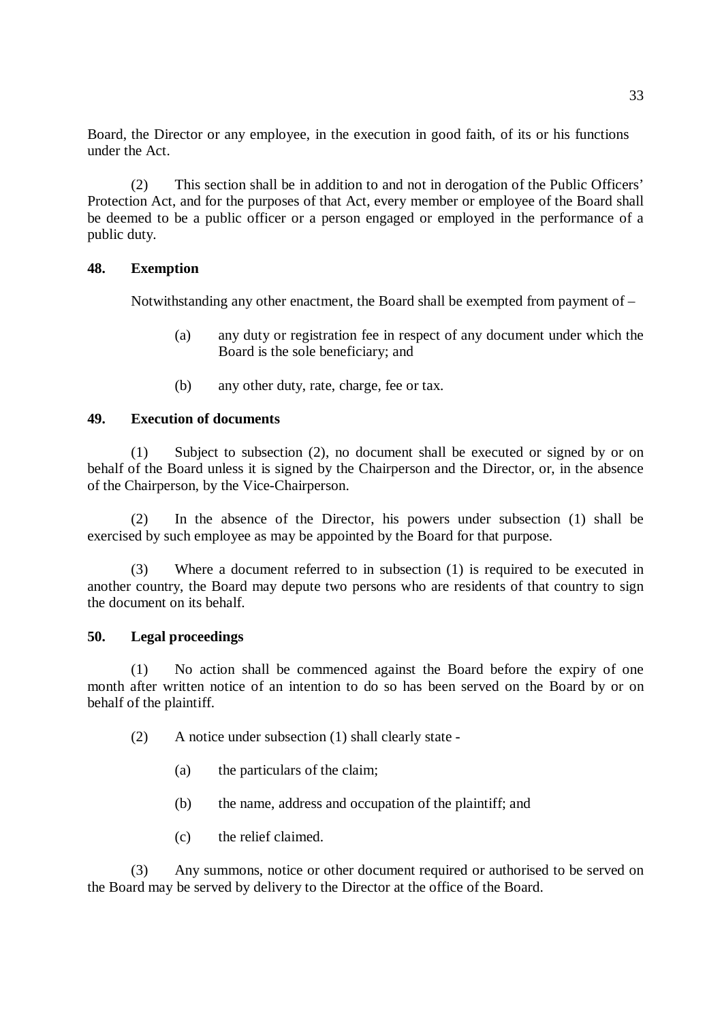Board, the Director or any employee, in the execution in good faith, of its or his functions under the Act.

(2) This section shall be in addition to and not in derogation of the Public Officers' Protection Act, and for the purposes of that Act, every member or employee of the Board shall be deemed to be a public officer or a person engaged or employed in the performance of a public duty.

## **48. Exemption**

Notwithstanding any other enactment, the Board shall be exempted from payment of –

- (a) any duty or registration fee in respect of any document under which the Board is the sole beneficiary; and
- (b) any other duty, rate, charge, fee or tax.

## **49. Execution of documents**

(1) Subject to subsection (2), no document shall be executed or signed by or on behalf of the Board unless it is signed by the Chairperson and the Director, or, in the absence of the Chairperson, by the Vice-Chairperson.

(2) In the absence of the Director, his powers under subsection (1) shall be exercised by such employee as may be appointed by the Board for that purpose.

(3) Where a document referred to in subsection (1) is required to be executed in another country, the Board may depute two persons who are residents of that country to sign the document on its behalf.

## **50. Legal proceedings**

(1) No action shall be commenced against the Board before the expiry of one month after written notice of an intention to do so has been served on the Board by or on behalf of the plaintiff.

- (2) A notice under subsection (1) shall clearly state
	- (a) the particulars of the claim;
	- (b) the name, address and occupation of the plaintiff; and
	- (c) the relief claimed.

(3) Any summons, notice or other document required or authorised to be served on the Board may be served by delivery to the Director at the office of the Board.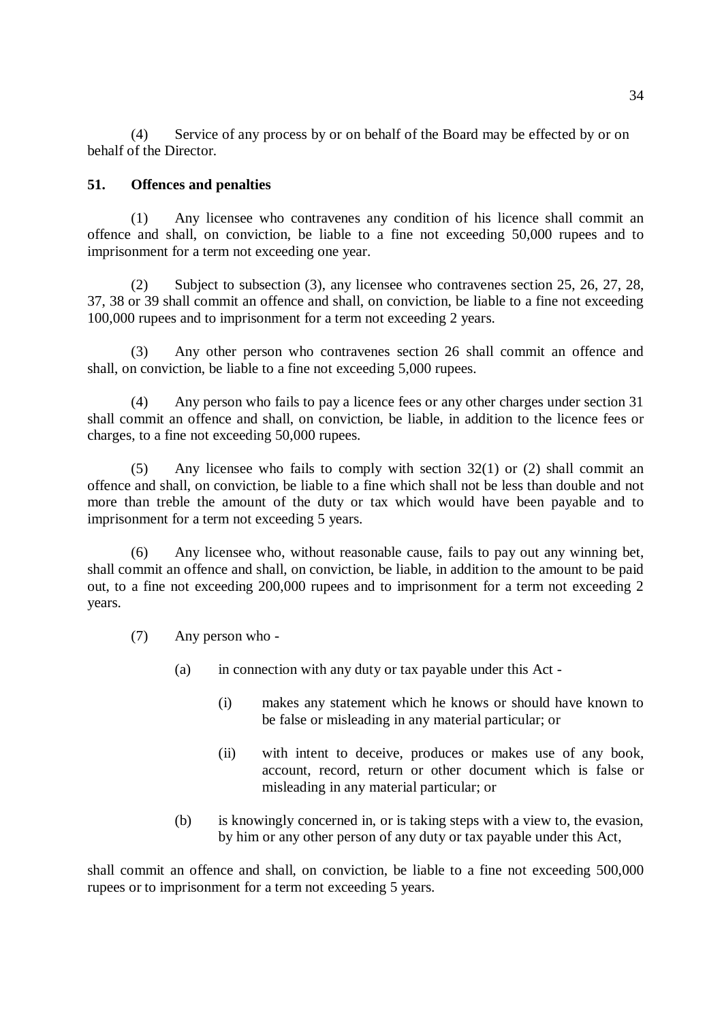(4) Service of any process by or on behalf of the Board may be effected by or on behalf of the Director.

#### **51. Offences and penalties**

(1) Any licensee who contravenes any condition of his licence shall commit an offence and shall, on conviction, be liable to a fine not exceeding 50,000 rupees and to imprisonment for a term not exceeding one year.

(2) Subject to subsection (3), any licensee who contravenes section 25, 26, 27, 28, 37, 38 or 39 shall commit an offence and shall, on conviction, be liable to a fine not exceeding 100,000 rupees and to imprisonment for a term not exceeding 2 years.

(3) Any other person who contravenes section 26 shall commit an offence and shall, on conviction, be liable to a fine not exceeding 5,000 rupees.

(4) Any person who fails to pay a licence fees or any other charges under section 31 shall commit an offence and shall, on conviction, be liable, in addition to the licence fees or charges, to a fine not exceeding 50,000 rupees.

(5) Any licensee who fails to comply with section 32(1) or (2) shall commit an offence and shall, on conviction, be liable to a fine which shall not be less than double and not more than treble the amount of the duty or tax which would have been payable and to imprisonment for a term not exceeding 5 years.

(6) Any licensee who, without reasonable cause, fails to pay out any winning bet, shall commit an offence and shall, on conviction, be liable, in addition to the amount to be paid out, to a fine not exceeding 200,000 rupees and to imprisonment for a term not exceeding 2 years.

- (7) Any person who
	- (a) in connection with any duty or tax payable under this Act
		- (i) makes any statement which he knows or should have known to be false or misleading in any material particular; or
		- (ii) with intent to deceive, produces or makes use of any book, account, record, return or other document which is false or misleading in any material particular; or
	- (b) is knowingly concerned in, or is taking steps with a view to, the evasion, by him or any other person of any duty or tax payable under this Act,

shall commit an offence and shall, on conviction, be liable to a fine not exceeding 500,000 rupees or to imprisonment for a term not exceeding 5 years.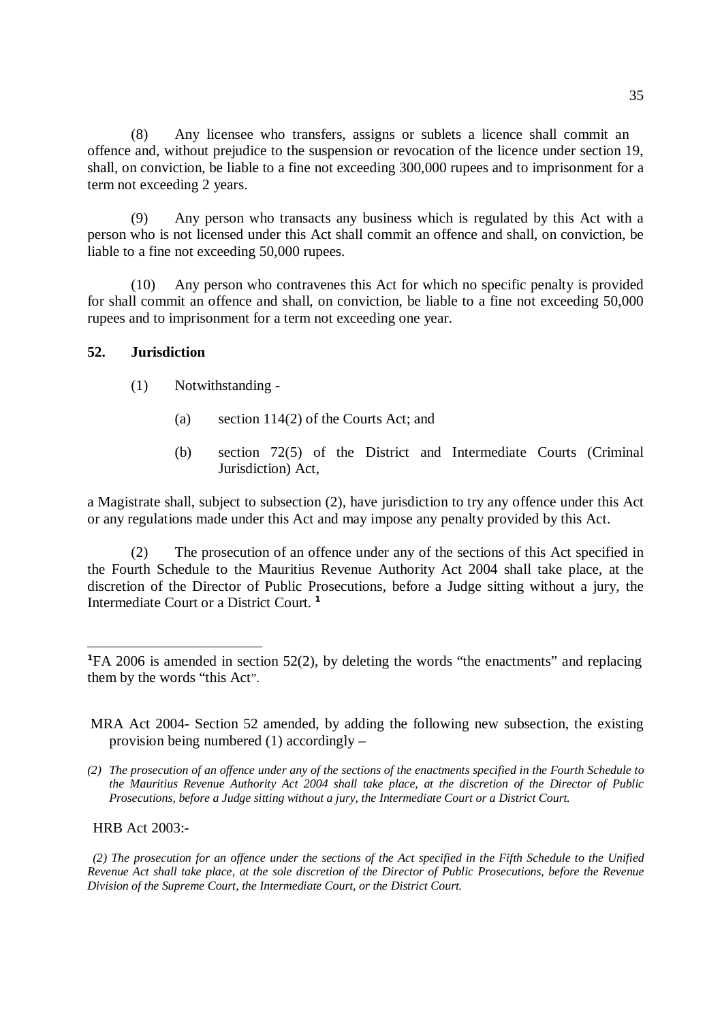(8) Any licensee who transfers, assigns or sublets a licence shall commit an offence and, without prejudice to the suspension or revocation of the licence under section 19, shall, on conviction, be liable to a fine not exceeding 300,000 rupees and to imprisonment for a term not exceeding 2 years.

(9) Any person who transacts any business which is regulated by this Act with a person who is not licensed under this Act shall commit an offence and shall, on conviction, be liable to a fine not exceeding 50,000 rupees.

(10) Any person who contravenes this Act for which no specific penalty is provided for shall commit an offence and shall, on conviction, be liable to a fine not exceeding 50,000 rupees and to imprisonment for a term not exceeding one year.

### **52. Jurisdiction**

- (1) Notwithstanding
	- (a) section 114(2) of the Courts Act; and
	- (b) section 72(5) of the District and Intermediate Courts (Criminal Jurisdiction) Act,

a Magistrate shall, subject to subsection (2), have jurisdiction to try any offence under this Act or any regulations made under this Act and may impose any penalty provided by this Act.

(2) The prosecution of an offence under any of the sections of this Act specified in the Fourth Schedule to the Mauritius Revenue Authority Act 2004 shall take place, at the discretion of the Director of Public Prosecutions, before a Judge sitting without a jury, the Intermediate Court or a District Court. **1** 

HRB Act 2003:-

 $\overline{a}$ 

(2) The prosecution for an offence under the sections of the Act specified in the Fifth Schedule to the Unified Revenue Act shall take place, at the sole discretion of the Director of Public Prosecutions, before the Revenue *Division of the Supreme Court, the Intermediate Court, or the District Court.* 

**<sup>1</sup>**FA 2006 is amended in section 52(2), by deleting the words "the enactments" and replacing them by the words "this Act".

MRA Act 2004- Section 52 amended, by adding the following new subsection, the existing provision being numbered (1) accordingly –

<sup>(2)</sup> The prosecution of an offence under any of the sections of the enactments specified in the Fourth Schedule to *the Mauritius Revenue Authority Act 2004 shall take place, at the discretion of the Director of Public Prosecutions, before a Judge sitting without a jury, the Intermediate Court or a District Court.*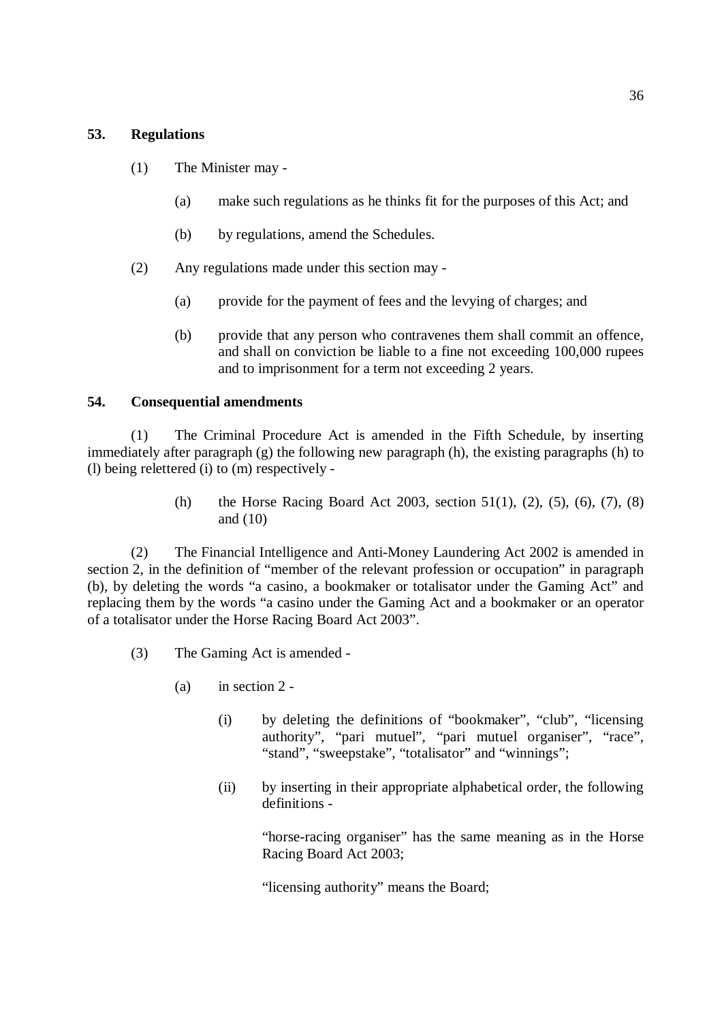### **53. Regulations**

- (1) The Minister may
	- (a) make such regulations as he thinks fit for the purposes of this Act; and
	- (b) by regulations, amend the Schedules.
- (2) Any regulations made under this section may
	- (a) provide for the payment of fees and the levying of charges; and
	- (b) provide that any person who contravenes them shall commit an offence, and shall on conviction be liable to a fine not exceeding 100,000 rupees and to imprisonment for a term not exceeding 2 years.

#### **54. Consequential amendments**

(1) The Criminal Procedure Act is amended in the Fifth Schedule, by inserting immediately after paragraph (g) the following new paragraph (h), the existing paragraphs (h) to (l) being relettered (i) to (m) respectively -

> (h) the Horse Racing Board Act 2003, section 51(1), (2), (5), (6), (7), (8) and (10)

(2) The Financial Intelligence and Anti-Money Laundering Act 2002 is amended in section 2, in the definition of "member of the relevant profession or occupation" in paragraph (b), by deleting the words "a casino, a bookmaker or totalisator under the Gaming Act" and replacing them by the words "a casino under the Gaming Act and a bookmaker or an operator of a totalisator under the Horse Racing Board Act 2003".

- (3) The Gaming Act is amended
	- (a) in section 2
		- (i) by deleting the definitions of "bookmaker", "club", "licensing authority", "pari mutuel", "pari mutuel organiser", "race", "stand", "sweepstake", "totalisator" and "winnings";
		- (ii) by inserting in their appropriate alphabetical order, the following definitions -

"horse-racing organiser" has the same meaning as in the Horse Racing Board Act 2003;

"licensing authority" means the Board;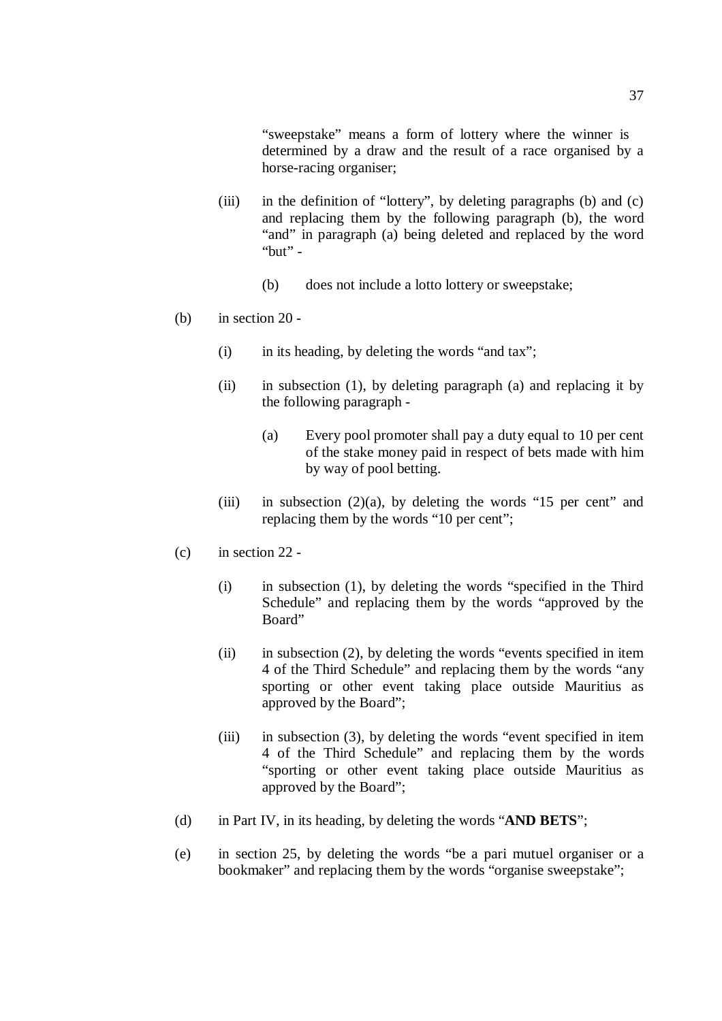"sweepstake" means a form of lottery where the winner is determined by a draw and the result of a race organised by a horse-racing organiser;

- (iii) in the definition of "lottery", by deleting paragraphs (b) and (c) and replacing them by the following paragraph (b), the word "and" in paragraph (a) being deleted and replaced by the word "but" -
	- (b) does not include a lotto lottery or sweepstake;
- (b) in section 20
	- (i) in its heading, by deleting the words "and tax";
	- (ii) in subsection (1), by deleting paragraph (a) and replacing it by the following paragraph -
		- (a) Every pool promoter shall pay a duty equal to 10 per cent of the stake money paid in respect of bets made with him by way of pool betting.
	- (iii) in subsection  $(2)(a)$ , by deleting the words "15 per cent" and replacing them by the words "10 per cent";
- (c) in section 22
	- (i) in subsection (1), by deleting the words "specified in the Third Schedule" and replacing them by the words "approved by the Board"
	- (ii) in subsection (2), by deleting the words "events specified in item 4 of the Third Schedule" and replacing them by the words "any sporting or other event taking place outside Mauritius as approved by the Board";
	- (iii) in subsection (3), by deleting the words "event specified in item 4 of the Third Schedule" and replacing them by the words "sporting or other event taking place outside Mauritius as approved by the Board";
- (d) in Part IV, in its heading, by deleting the words "**AND BETS**";
- (e) in section 25, by deleting the words "be a pari mutuel organiser or a bookmaker" and replacing them by the words "organise sweepstake";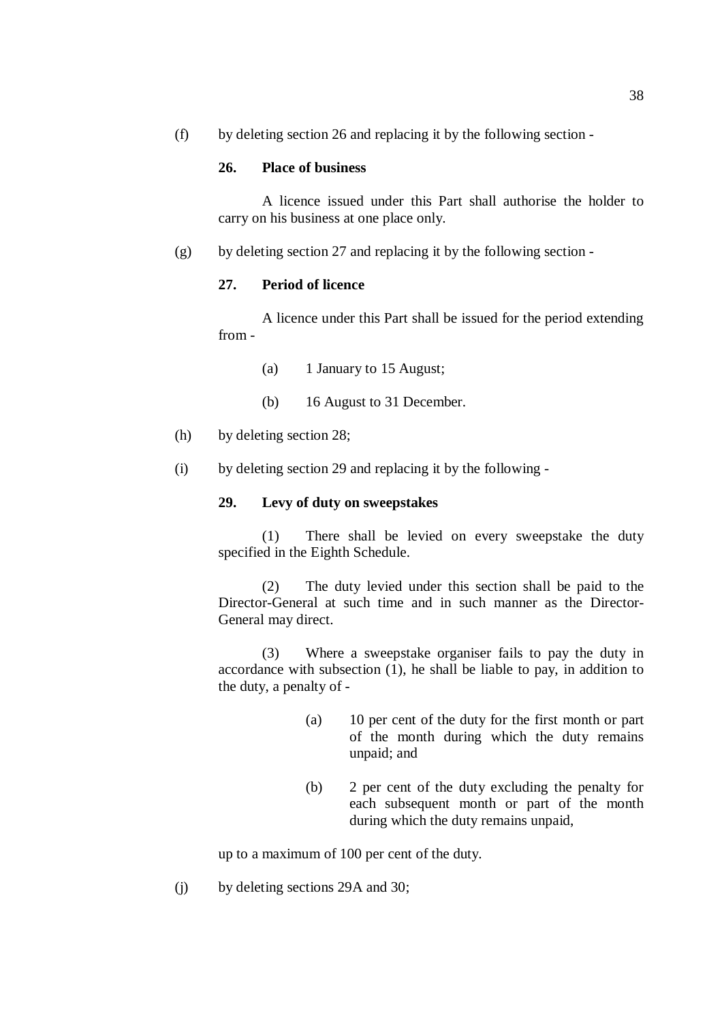(f) by deleting section 26 and replacing it by the following section -

## **26. Place of business**

A licence issued under this Part shall authorise the holder to carry on his business at one place only.

(g) by deleting section 27 and replacing it by the following section -

### **27. Period of licence**

A licence under this Part shall be issued for the period extending from -

- (a) 1 January to 15 August;
- (b) 16 August to 31 December.
- (h) by deleting section 28;
- (i) by deleting section 29 and replacing it by the following -

## **29. Levy of duty on sweepstakes**

(1) There shall be levied on every sweepstake the duty specified in the Eighth Schedule.

(2) The duty levied under this section shall be paid to the Director-General at such time and in such manner as the Director-General may direct.

(3) Where a sweepstake organiser fails to pay the duty in accordance with subsection (1), he shall be liable to pay, in addition to the duty, a penalty of -

- (a) 10 per cent of the duty for the first month or part of the month during which the duty remains unpaid; and
- (b) 2 per cent of the duty excluding the penalty for each subsequent month or part of the month during which the duty remains unpaid,

up to a maximum of 100 per cent of the duty.

(j) by deleting sections 29A and 30;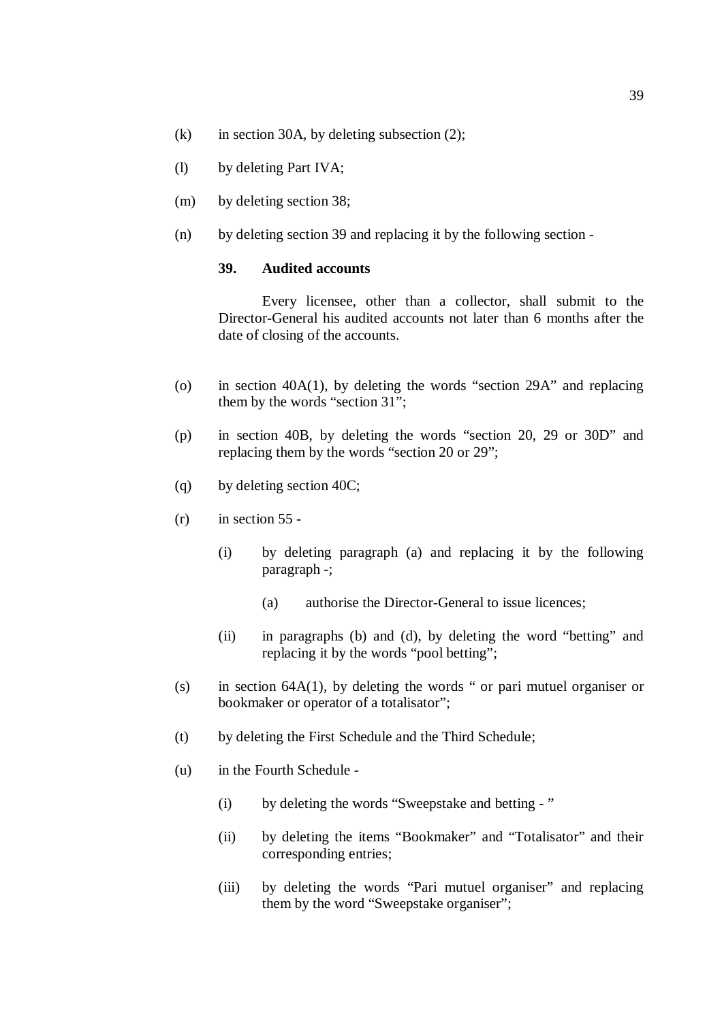- (k) in section 30A, by deleting subsection  $(2)$ ;
- (l) by deleting Part IVA;
- (m) by deleting section 38;
- (n) by deleting section 39 and replacing it by the following section -

#### **39. Audited accounts**

Every licensee, other than a collector, shall submit to the Director-General his audited accounts not later than 6 months after the date of closing of the accounts.

- (o) in section 40A(1), by deleting the words "section 29A" and replacing them by the words "section 31";
- (p) in section 40B, by deleting the words "section 20, 29 or 30D" and replacing them by the words "section 20 or 29";
- (q) by deleting section 40C;
- $(r)$  in section 55 -
	- (i) by deleting paragraph (a) and replacing it by the following paragraph -;
		- (a) authorise the Director-General to issue licences;
	- (ii) in paragraphs (b) and (d), by deleting the word "betting" and replacing it by the words "pool betting";
- (s) in section 64A(1), by deleting the words " or pari mutuel organiser or bookmaker or operator of a totalisator";
- (t) by deleting the First Schedule and the Third Schedule;
- (u) in the Fourth Schedule
	- (i) by deleting the words "Sweepstake and betting "
	- (ii) by deleting the items "Bookmaker" and "Totalisator" and their corresponding entries;
	- (iii) by deleting the words "Pari mutuel organiser" and replacing them by the word "Sweepstake organiser";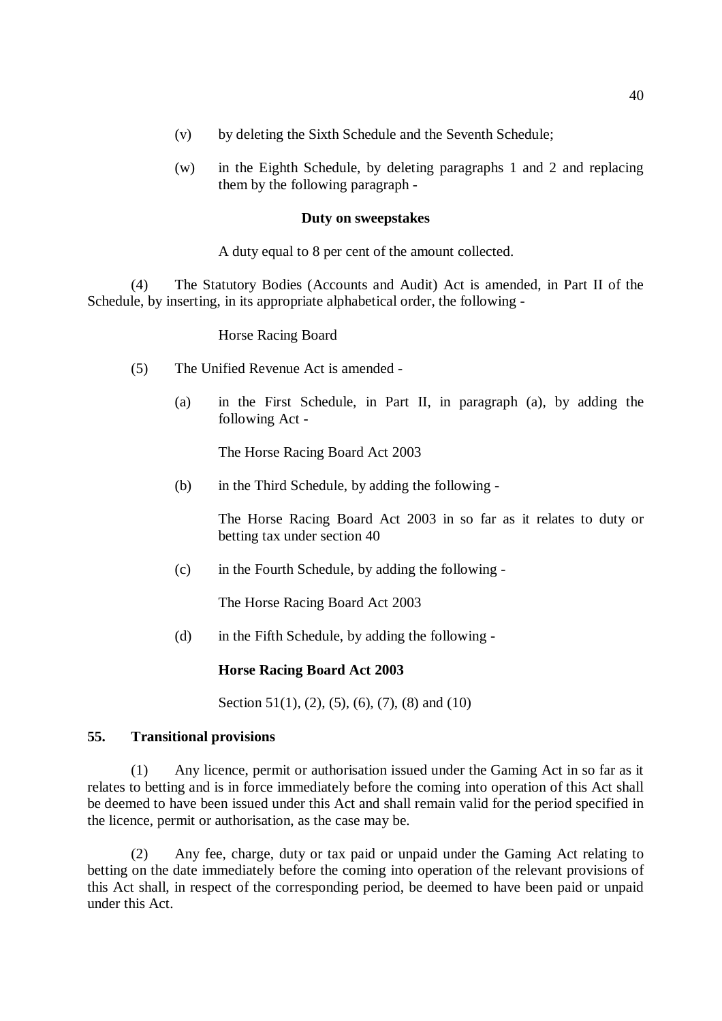- (v) by deleting the Sixth Schedule and the Seventh Schedule;
- (w) in the Eighth Schedule, by deleting paragraphs 1 and 2 and replacing them by the following paragraph -

#### **Duty on sweepstakes**

A duty equal to 8 per cent of the amount collected.

(4) The Statutory Bodies (Accounts and Audit) Act is amended, in Part II of the Schedule, by inserting, in its appropriate alphabetical order, the following -

Horse Racing Board

- (5) The Unified Revenue Act is amended
	- (a) in the First Schedule, in Part II, in paragraph (a), by adding the following Act -

The Horse Racing Board Act 2003

(b) in the Third Schedule, by adding the following -

The Horse Racing Board Act 2003 in so far as it relates to duty or betting tax under section 40

(c) in the Fourth Schedule, by adding the following -

The Horse Racing Board Act 2003

(d) in the Fifth Schedule, by adding the following -

#### **Horse Racing Board Act 2003**

Section 51(1), (2), (5), (6), (7), (8) and (10)

#### **55. Transitional provisions**

(1) Any licence, permit or authorisation issued under the Gaming Act in so far as it relates to betting and is in force immediately before the coming into operation of this Act shall be deemed to have been issued under this Act and shall remain valid for the period specified in the licence, permit or authorisation, as the case may be.

(2) Any fee, charge, duty or tax paid or unpaid under the Gaming Act relating to betting on the date immediately before the coming into operation of the relevant provisions of this Act shall, in respect of the corresponding period, be deemed to have been paid or unpaid under this Act.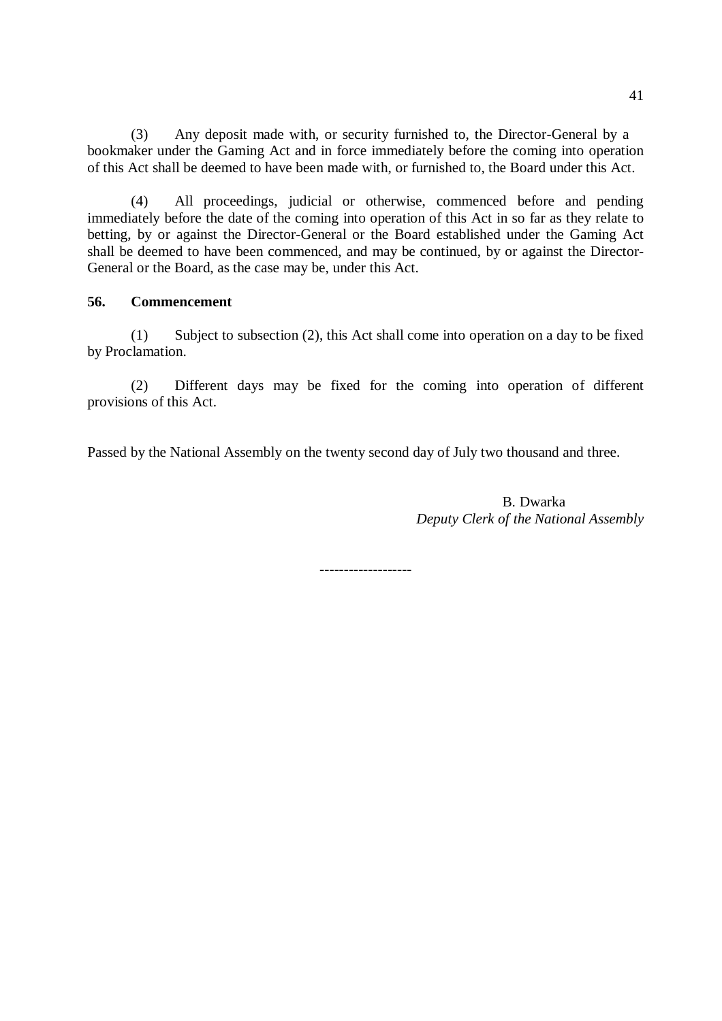(3) Any deposit made with, or security furnished to, the Director-General by a bookmaker under the Gaming Act and in force immediately before the coming into operation of this Act shall be deemed to have been made with, or furnished to, the Board under this Act.

(4) All proceedings, judicial or otherwise, commenced before and pending immediately before the date of the coming into operation of this Act in so far as they relate to betting, by or against the Director-General or the Board established under the Gaming Act shall be deemed to have been commenced, and may be continued, by or against the Director-General or the Board, as the case may be, under this Act.

## **56. Commencement**

(1) Subject to subsection (2), this Act shall come into operation on a day to be fixed by Proclamation.

(2) Different days may be fixed for the coming into operation of different provisions of this Act.

Passed by the National Assembly on the twenty second day of July two thousand and three.

B. Dwarka *Deputy Clerk of the National Assembly* 

**-------------------**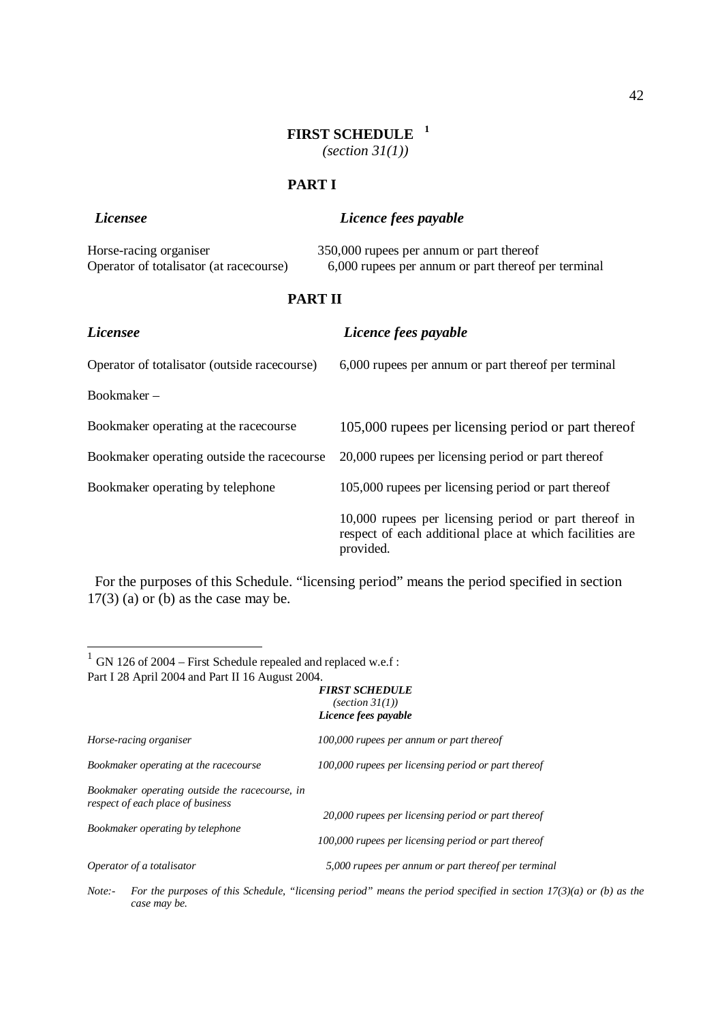# **FIRST SCHEDULE 1** *(section 31(1))*

**PART I** 

| <i>Licensee</i>                         | Licence fees payable                                |  |  |
|-----------------------------------------|-----------------------------------------------------|--|--|
| Horse-racing organiser                  | 350,000 rupees per annum or part thereof            |  |  |
| Operator of totalisator (at racecourse) | 6,000 rupees per annum or part thereof per terminal |  |  |

## **PART II**

| <i>Licensee</i>                              | Licence fees payable                                                                                                           |  |  |  |
|----------------------------------------------|--------------------------------------------------------------------------------------------------------------------------------|--|--|--|
| Operator of totalisator (outside racecourse) | 6,000 rupees per annum or part thereof per terminal                                                                            |  |  |  |
| Bookmaker $-$                                |                                                                                                                                |  |  |  |
| Bookmaker operating at the racecourse        | 105,000 rupees per licensing period or part thereof                                                                            |  |  |  |
| Bookmaker operating outside the racecourse   | 20,000 rupees per licensing period or part thereof                                                                             |  |  |  |
| Bookmaker operating by telephone             | 105,000 rupees per licensing period or part thereof                                                                            |  |  |  |
|                                              | 10,000 rupees per licensing period or part thereof in<br>respect of each additional place at which facilities are<br>provided. |  |  |  |

 For the purposes of this Schedule. "licensing period" means the period specified in section  $17(3)$  (a) or (b) as the case may be.

<sup>1</sup> GN 126 of 2004 – First Schedule repealed and replaced w.e.f : Part I 28 April 2004 and Part II 16 August 2004.

#### *FIRST SCHEDULE (section 31(1))*

|                                                                                                                         | Licence fees payable                                                                                      |  |  |  |
|-------------------------------------------------------------------------------------------------------------------------|-----------------------------------------------------------------------------------------------------------|--|--|--|
| Horse-racing organiser                                                                                                  | 100,000 rupees per annum or part thereof                                                                  |  |  |  |
| Bookmaker operating at the racecourse                                                                                   | 100,000 rupees per licensing period or part thereof                                                       |  |  |  |
| Bookmaker operating outside the racecourse, in<br>respect of each place of business<br>Bookmaker operating by telephone | 20,000 rupees per licensing period or part thereof<br>100,000 rupees per licensing period or part thereof |  |  |  |
| Operator of a totalisator                                                                                               | 5,000 rupees per annum or part thereof per terminal                                                       |  |  |  |
|                                                                                                                         |                                                                                                           |  |  |  |

Note:- For the purposes of this Schedule, "licensing period" means the period specified in section  $17(3)(a)$  or (b) as the *case may be.*